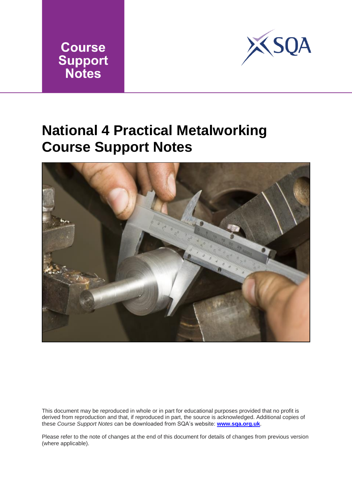



## **National 4 Practical Metalworking Course Support Notes**



This document may be reproduced in whole or in part for educational purposes provided that no profit is derived from reproduction and that, if reproduced in part, the source is acknowledged. Additional copies of these *Course Support Notes* can be downloaded from SQA's website: **[www.sqa.org.uk](http://www.sqa.org.uk/)**.

Please refer to the note of changes at the end of this document for details of changes from previous version (where applicable).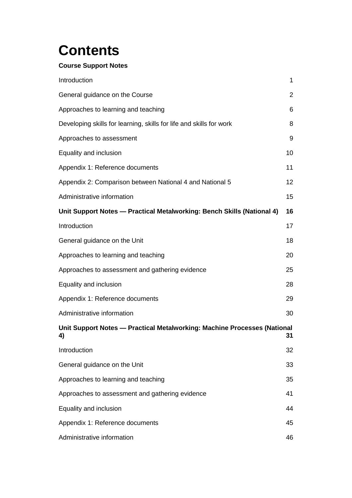# **Contents**

### **Course Support Notes**

| Introduction                                                                   | $\mathbf{1}$   |
|--------------------------------------------------------------------------------|----------------|
| General guidance on the Course                                                 | $\overline{2}$ |
| Approaches to learning and teaching                                            | 6              |
| Developing skills for learning, skills for life and skills for work            | 8              |
| Approaches to assessment                                                       | 9              |
| Equality and inclusion                                                         | 10             |
| Appendix 1: Reference documents                                                | 11             |
| Appendix 2: Comparison between National 4 and National 5                       | 12             |
| Administrative information                                                     | 15             |
| Unit Support Notes - Practical Metalworking: Bench Skills (National 4)         | 16             |
| Introduction                                                                   | 17             |
| General guidance on the Unit                                                   | 18             |
| Approaches to learning and teaching                                            | 20             |
| Approaches to assessment and gathering evidence                                | 25             |
| Equality and inclusion                                                         | 28             |
| Appendix 1: Reference documents                                                | 29             |
| Administrative information                                                     | 30             |
| Unit Support Notes - Practical Metalworking: Machine Processes (National<br>4) | 31             |
| Introduction                                                                   | 32             |
| General guidance on the Unit                                                   | 33             |
| Approaches to learning and teaching                                            | 35             |
| Approaches to assessment and gathering evidence                                | 41             |
| Equality and inclusion                                                         | 44             |
| Appendix 1: Reference documents                                                | 45             |
| Administrative information                                                     | 46             |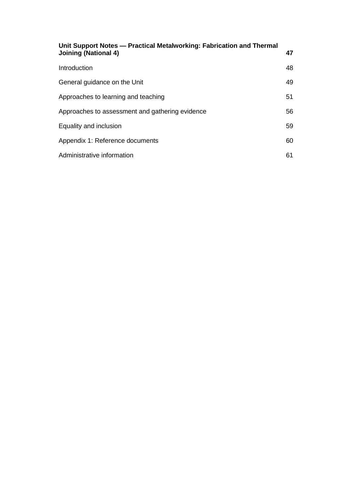| Unit Support Notes — Practical Metalworking: Fabrication and Thermal<br><b>Joining (National 4)</b> | 47 |
|-----------------------------------------------------------------------------------------------------|----|
| Introduction                                                                                        | 48 |
| General guidance on the Unit                                                                        | 49 |
| Approaches to learning and teaching                                                                 | 51 |
| Approaches to assessment and gathering evidence                                                     | 56 |
| Equality and inclusion                                                                              | 59 |
| Appendix 1: Reference documents                                                                     | 60 |
| Administrative information                                                                          | 61 |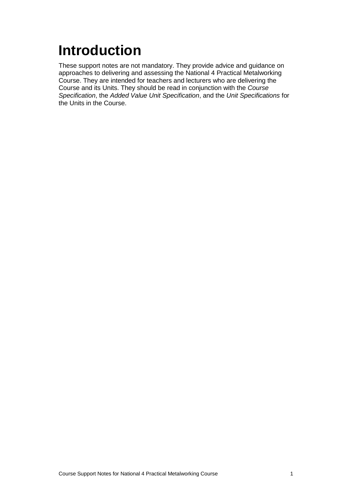# <span id="page-3-0"></span>**Introduction**

These support notes are not mandatory. They provide advice and guidance on approaches to delivering and assessing the National 4 Practical Metalworking Course. They are intended for teachers and lecturers who are delivering the Course and its Units. They should be read in conjunction with the *Course Specification*, the *Added Value Unit Specification*, and the *Unit Specifications* for the Units in the Course.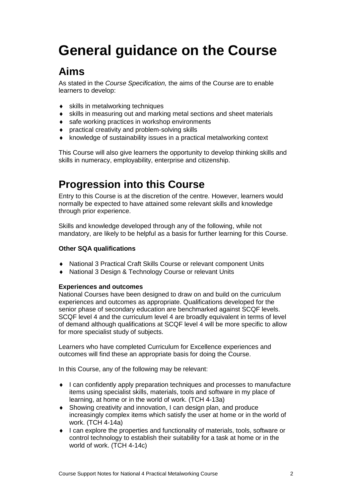# <span id="page-4-0"></span>**General guidance on the Course**

### **Aims**

As stated in the *Course Specification,* the aims of the Course are to enable learners to develop:

- ◆ skills in metalworking techniques
- skills in measuring out and marking metal sections and sheet materials
- ◆ safe working practices in workshop environments
- practical creativity and problem-solving skills
- knowledge of sustainability issues in a practical metalworking context

This Course will also give learners the opportunity to develop thinking skills and skills in numeracy, employability, enterprise and citizenship.

### **Progression into this Course**

Entry to this Course is at the discretion of the centre. However, learners would normally be expected to have attained some relevant skills and knowledge through prior experience.

Skills and knowledge developed through any of the following, while not mandatory, are likely to be helpful as a basis for further learning for this Course.

### **Other SQA qualifications**

- National 3 Practical Craft Skills Course or relevant component Units
- ◆ National 3 Design & Technology Course or relevant Units

#### **Experiences and outcomes**

National Courses have been designed to draw on and build on the curriculum experiences and outcomes as appropriate. Qualifications developed for the senior phase of secondary education are benchmarked against SCQF levels. SCQF level 4 and the curriculum level 4 are broadly equivalent in terms of level of demand although qualifications at SCQF level 4 will be more specific to allow for more specialist study of subjects.

Learners who have completed Curriculum for Excellence experiences and outcomes will find these an appropriate basis for doing the Course.

In this Course, any of the following may be relevant:

- I can confidently apply preparation techniques and processes to manufacture items using specialist skills, materials, tools and software in my place of learning, at home or in the world of work. (TCH 4-13a)
- Showing creativity and innovation, I can design plan, and produce increasingly complex items which satisfy the user at home or in the world of work. (TCH 4-14a)
- ◆ I can explore the properties and functionality of materials, tools, software or control technology to establish their suitability for a task at home or in the world of work. (TCH 4-14c)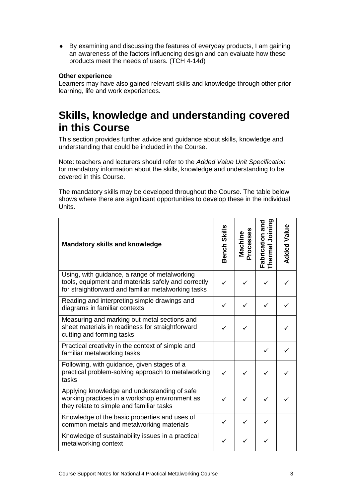By examining and discussing the features of everyday products, I am gaining an awareness of the factors influencing design and can evaluate how these products meet the needs of users. (TCH 4-14d)

#### **Other experience**

Learners may have also gained relevant skills and knowledge through other prior learning, life and work experiences.

### **Skills, knowledge and understanding covered in this Course**

This section provides further advice and guidance about skills, knowledge and understanding that could be included in the Course.

Note: teachers and lecturers should refer to the *Added Value Unit Specification* for mandatory information about the skills, knowledge and understanding to be covered in this Course.

The mandatory skills may be developed throughout the Course. The table below shows where there are significant opportunities to develop these in the individual Units.

| <b>Mandatory skills and knowledge</b>                                                                                                                       | Bench Skills | Processes<br>Machine | Fabrication and<br>Thermal Joining | <b>Added Value</b> |
|-------------------------------------------------------------------------------------------------------------------------------------------------------------|--------------|----------------------|------------------------------------|--------------------|
| Using, with guidance, a range of metalworking<br>tools, equipment and materials safely and correctly<br>for straightforward and familiar metalworking tasks |              |                      |                                    |                    |
| Reading and interpreting simple drawings and<br>diagrams in familiar contexts                                                                               |              |                      |                                    |                    |
| Measuring and marking out metal sections and<br>sheet materials in readiness for straightforward<br>cutting and forming tasks                               |              | ✓                    |                                    |                    |
| Practical creativity in the context of simple and<br>familiar metalworking tasks                                                                            |              |                      |                                    |                    |
| Following, with guidance, given stages of a<br>practical problem-solving approach to metalworking<br>tasks                                                  |              |                      |                                    |                    |
| Applying knowledge and understanding of safe<br>working practices in a workshop environment as<br>they relate to simple and familiar tasks                  |              |                      |                                    |                    |
| Knowledge of the basic properties and uses of<br>common metals and metalworking materials                                                                   | ✓            | ✓                    |                                    |                    |
| Knowledge of sustainability issues in a practical<br>metalworking context                                                                                   | ✓            | ✓                    |                                    |                    |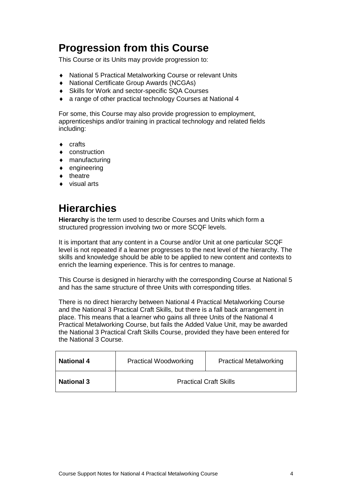### **Progression from this Course**

This Course or its Units may provide progression to:

- National 5 Practical Metalworking Course or relevant Units
- National Certificate Group Awards (NCGAs)
- Skills for Work and sector-specific SQA Courses
- a range of other practical technology Courses at National 4

For some, this Course may also provide progression to employment, apprenticeships and/or training in practical technology and related fields including:

- ◆ crafts
- ◆ construction
- manufacturing
- $\bullet$  engineering
- $\bullet$  theatre
- ◆ visual arts

### **Hierarchies**

**Hierarchy** is the term used to describe Courses and Units which form a structured progression involving two or more SCQF levels.

It is important that any content in a Course and/or Unit at one particular SCQF level is not repeated if a learner progresses to the next level of the hierarchy. The skills and knowledge should be able to be applied to new content and contexts to enrich the learning experience. This is for centres to manage.

This Course is designed in hierarchy with the corresponding Course at National 5 and has the same structure of three Units with corresponding titles.

There is no direct hierarchy between National 4 Practical Metalworking Course and the National 3 Practical Craft Skills, but there is a fall back arrangement in place. This means that a learner who gains all three Units of the National 4 Practical Metalworking Course, but fails the Added Value Unit, may be awarded the National 3 Practical Craft Skills Course, provided they have been entered for the National 3 Course.

| <b>National 4</b> | <b>Practical Woodworking</b> | <b>Practical Metalworking</b> |
|-------------------|------------------------------|-------------------------------|
| <b>National 3</b> |                              | <b>Practical Craft Skills</b> |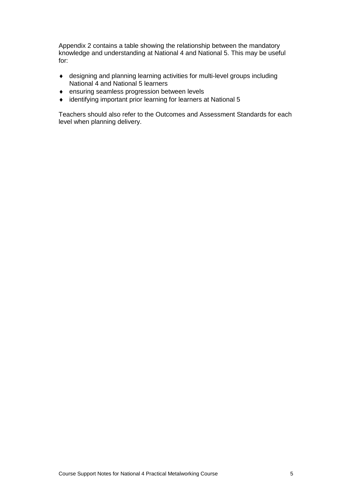Appendix 2 contains a table showing the relationship between the mandatory knowledge and understanding at National 4 and National 5. This may be useful for:

- designing and planning learning activities for multi-level groups including National 4 and National 5 learners
- ensuring seamless progression between levels
- identifying important prior learning for learners at National 5

Teachers should also refer to the Outcomes and Assessment Standards for each level when planning delivery.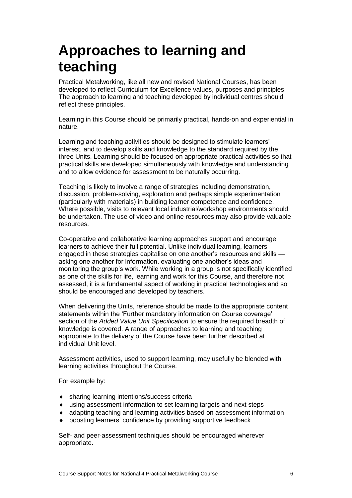## <span id="page-8-0"></span>**Approaches to learning and teaching**

Practical Metalworking, like all new and revised National Courses, has been developed to reflect Curriculum for Excellence values, purposes and principles. The approach to learning and teaching developed by individual centres should reflect these principles.

Learning in this Course should be primarily practical, hands-on and experiential in nature.

Learning and teaching activities should be designed to stimulate learners' interest, and to develop skills and knowledge to the standard required by the three Units. Learning should be focused on appropriate practical activities so that practical skills are developed simultaneously with knowledge and understanding and to allow evidence for assessment to be naturally occurring.

Teaching is likely to involve a range of strategies including demonstration, discussion, problem-solving, exploration and perhaps simple experimentation (particularly with materials) in building learner competence and confidence. Where possible, visits to relevant local industrial/workshop environments should be undertaken. The use of video and online resources may also provide valuable resources.

Co-operative and collaborative learning approaches support and encourage learners to achieve their full potential. Unlike individual learning, learners engaged in these strategies capitalise on one another's resources and skills asking one another for information, evaluating one another's ideas and monitoring the group's work. While working in a group is not specifically identified as one of the skills for life, learning and work for this Course, and therefore not assessed, it is a fundamental aspect of working in practical technologies and so should be encouraged and developed by teachers.

When delivering the Units, reference should be made to the appropriate content statements within the 'Further mandatory information on Course coverage' section of the *Added Value Unit Specification* to ensure the required breadth of knowledge is covered. A range of approaches to learning and teaching appropriate to the delivery of the Course have been further described at individual Unit level.

Assessment activities, used to support learning, may usefully be blended with learning activities throughout the Course.

For example by:

- sharing learning intentions/success criteria
- using assessment information to set learning targets and next steps
- adapting teaching and learning activities based on assessment information
- boosting learners' confidence by providing supportive feedback

Self- and peer-assessment techniques should be encouraged wherever appropriate.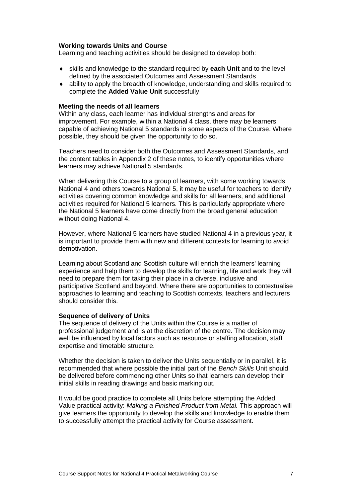#### **Working towards Units and Course**

Learning and teaching activities should be designed to develop both:

- skills and knowledge to the standard required by **each Unit** and to the level defined by the associated Outcomes and Assessment Standards
- ability to apply the breadth of knowledge, understanding and skills required to complete the **Added Value Unit** successfully

#### **Meeting the needs of all learners**

Within any class, each learner has individual strengths and areas for improvement. For example, within a National 4 class, there may be learners capable of achieving National 5 standards in some aspects of the Course. Where possible, they should be given the opportunity to do so.

Teachers need to consider both the Outcomes and Assessment Standards, and the content tables in Appendix 2 of these notes, to identify opportunities where learners may achieve National 5 standards.

When delivering this Course to a group of learners, with some working towards National 4 and others towards National 5, it may be useful for teachers to identify activities covering common knowledge and skills for all learners, and additional activities required for National 5 learners. This is particularly appropriate where the National 5 learners have come directly from the broad general education without doing National 4.

However, where National 5 learners have studied National 4 in a previous year, it is important to provide them with new and different contexts for learning to avoid demotivation.

Learning about Scotland and Scottish culture will enrich the learners' learning experience and help them to develop the skills for learning, life and work they will need to prepare them for taking their place in a diverse, inclusive and participative Scotland and beyond. Where there are opportunities to contextualise approaches to learning and teaching to Scottish contexts, teachers and lecturers should consider this.

#### **Sequence of delivery of Units**

The sequence of delivery of the Units within the Course is a matter of professional judgement and is at the discretion of the centre. The decision may well be influenced by local factors such as resource or staffing allocation, staff expertise and timetable structure.

Whether the decision is taken to deliver the Units sequentially or in parallel, it is recommended that where possible the initial part of the *Bench Skills* Unit should be delivered before commencing other Units so that learners can develop their initial skills in reading drawings and basic marking out.

It would be good practice to complete all Units before attempting the Added Value practical activity: *Making a Finished Product from Metal.* This approach will give learners the opportunity to develop the skills and knowledge to enable them to successfully attempt the practical activity for Course assessment.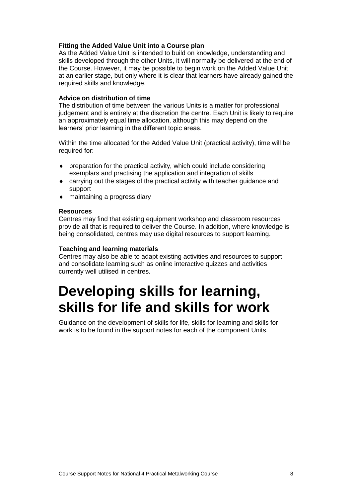#### **Fitting the Added Value Unit into a Course plan**

As the Added Value Unit is intended to build on knowledge, understanding and skills developed through the other Units, it will normally be delivered at the end of the Course. However, it may be possible to begin work on the Added Value Unit at an earlier stage, but only where it is clear that learners have already gained the required skills and knowledge.

#### **Advice on distribution of time**

The distribution of time between the various Units is a matter for professional judgement and is entirely at the discretion the centre. Each Unit is likely to require an approximately equal time allocation, although this may depend on the learners' prior learning in the different topic areas.

Within the time allocated for the Added Value Unit (practical activity), time will be required for:

- preparation for the practical activity, which could include considering exemplars and practising the application and integration of skills
- carrying out the stages of the practical activity with teacher guidance and support
- maintaining a progress diary

#### **Resources**

Centres may find that existing equipment workshop and classroom resources provide all that is required to deliver the Course. In addition, where knowledge is being consolidated, centres may use digital resources to support learning.

#### **Teaching and learning materials**

Centres may also be able to adapt existing activities and resources to support and consolidate learning such as online interactive quizzes and activities currently well utilised in centres.

## <span id="page-10-0"></span>**Developing skills for learning, skills for life and skills for work**

Guidance on the development of skills for life, skills for learning and skills for work is to be found in the support notes for each of the component Units.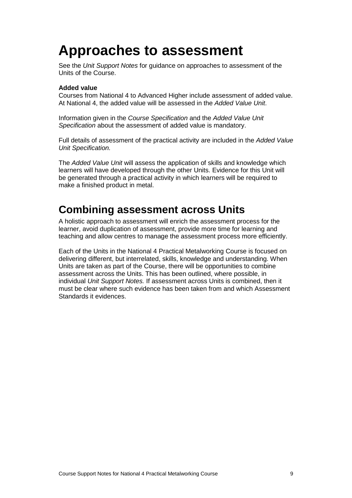## <span id="page-11-0"></span>**Approaches to assessment**

See the *Unit Support Notes* for guidance on approaches to assessment of the Units of the Course.

#### **Added value**

Courses from National 4 to Advanced Higher include assessment of added value. At National 4, the added value will be assessed in the *Added Value Unit*.

Information given in the *Course Specification* and the *Added Value Unit Specification* about the assessment of added value is mandatory.

Full details of assessment of the practical activity are included in the *Added Value Unit Specification.*

The *Added Value Unit* will assess the application of skills and knowledge which learners will have developed through the other Units. Evidence for this Unit will be generated through a practical activity in which learners will be required to make a finished product in metal.

### **Combining assessment across Units**

A holistic approach to assessment will enrich the assessment process for the learner, avoid duplication of assessment, provide more time for learning and teaching and allow centres to manage the assessment process more efficiently.

Each of the Units in the National 4 Practical Metalworking Course is focused on delivering different, but interrelated, skills, knowledge and understanding. When Units are taken as part of the Course, there will be opportunities to combine assessment across the Units. This has been outlined, where possible, in individual *Unit Support Notes.* If assessment across Units is combined, then it must be clear where such evidence has been taken from and which Assessment Standards it evidences.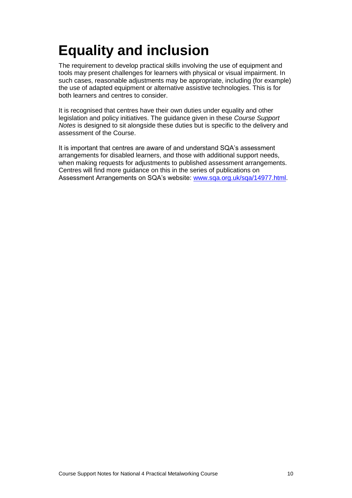# <span id="page-12-0"></span>**Equality and inclusion**

The requirement to develop practical skills involving the use of equipment and tools may present challenges for learners with physical or visual impairment. In such cases, reasonable adjustments may be appropriate, including (for example) the use of adapted equipment or alternative assistive technologies. This is for both learners and centres to consider.

It is recognised that centres have their own duties under equality and other legislation and policy initiatives. The guidance given in these *Course Support Notes* is designed to sit alongside these duties but is specific to the delivery and assessment of the Course.

It is important that centres are aware of and understand SQA's assessment arrangements for disabled learners, and those with additional support needs, when making requests for adjustments to published assessment arrangements. Centres will find more guidance on this in the series of publications on Assessment Arrangements on SQA's website: [www.sqa.org.uk/sqa/14977.html.](http://www.sqa.org.uk/sqa/14977.html)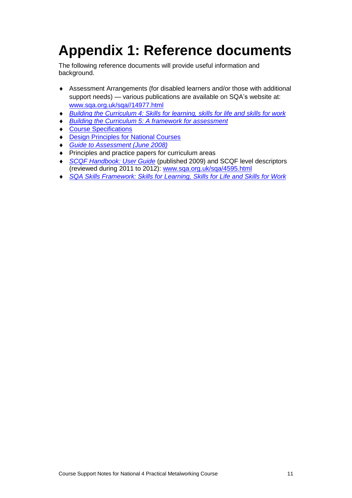# <span id="page-13-0"></span>**Appendix 1: Reference documents**

The following reference documents will provide useful information and background.

- Assessment Arrangements (for disabled learners and/or those with additional support needs) — various publications are available on SQA's website at: [www.sqa.org.uk/sqa//14977.html](http://www.sqa.org.uk/sqa/14977.html)
- *[Building the Curriculum 4: Skills for learning, skills for life and skills for work](http://www.ltscotland.org.uk/buildingyourcurriculum/policycontext/btc/btc4.asp)*
- *[Building the Curriculum 5: A framework for assessment](http://www.ltscotland.org.uk/buildingyourcurriculum/policycontext/btc/btc5.asp)*
- [Course Specifications](http://www.sqa.org.uk/browsecfesubjects)
- [Design Principles for National Courses](http://www.sqa.org.uk/sqa/68410.5165.html)
- *[Guide to Assessment \(June 2008\)](http://www.sqa.org.uk/files_ccc/25GuideToAssessment.pdf)*
- ◆ Principles and practice papers for curriculum areas
- *[SCQF Handbook: User Guide](http://www.scqf.org.uk/Resources)* (published 2009) and SCQF level descriptors (reviewed during 2011 to 2012): [www.sqa.org.uk/sqa/4595.html](http://www.sqa.org.uk/sqa/4595.html)
- *[SQA Skills Framework: Skills for Learning, Skills](http://www.sqa.org.uk/sqa/63101.html) for Life and Skills for Work*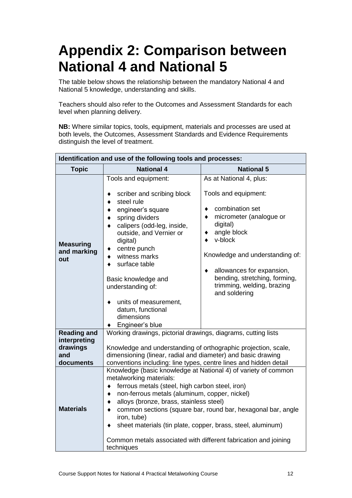## <span id="page-14-0"></span>**Appendix 2: Comparison between National 4 and National 5**

The table below shows the relationship between the mandatory National 4 and National 5 knowledge, understanding and skills.

Teachers should also refer to the Outcomes and Assessment Standards for each level when planning delivery.

**NB:** Where similar topics, tools, equipment, materials and processes are used at both levels, the Outcomes, Assessment Standards and Evidence Requirements distinguish the level of treatment.

| Identification and use of the following tools and processes:                           |                                                                                                                                                                                                                                                                                                                                                                                                                                                                                                                                                                                                                                                                                                                                                                             |  |  |  |
|----------------------------------------------------------------------------------------|-----------------------------------------------------------------------------------------------------------------------------------------------------------------------------------------------------------------------------------------------------------------------------------------------------------------------------------------------------------------------------------------------------------------------------------------------------------------------------------------------------------------------------------------------------------------------------------------------------------------------------------------------------------------------------------------------------------------------------------------------------------------------------|--|--|--|
| <b>Topic</b>                                                                           | <b>National 4</b><br><b>National 5</b>                                                                                                                                                                                                                                                                                                                                                                                                                                                                                                                                                                                                                                                                                                                                      |  |  |  |
| <b>Measuring</b><br>and marking<br>out                                                 | Tools and equipment:<br>As at National 4, plus:<br>Tools and equipment:<br>scriber and scribing block<br>steel rule<br>٠<br>combination set<br>engineer's square<br>$\bullet$<br>micrometer (analogue or<br>spring dividers<br>digital)<br>calipers (odd-leg, inside,<br>angle block<br>outside, and Vernier or<br>v-block<br>digital)<br>centre punch<br>Knowledge and understanding of:<br>witness marks<br>surface table<br>allowances for expansion,<br>bending, stretching, forming,<br>Basic knowledge and<br>trimming, welding, brazing<br>understanding of:<br>and soldering<br>units of measurement,<br>datum, functional<br>dimensions<br>Engineer's blue                                                                                                         |  |  |  |
| <b>Reading and</b><br>interpreting<br>drawings<br>and<br>documents<br><b>Materials</b> | Working drawings, pictorial drawings, diagrams, cutting lists<br>Knowledge and understanding of orthographic projection, scale,<br>dimensioning (linear, radial and diameter) and basic drawing<br>conventions including: line types, centre lines and hidden detail<br>Knowledge (basic knowledge at National 4) of variety of common<br>metalworking materials:<br>ferrous metals (steel, high carbon steel, iron)<br>٠<br>non-ferrous metals (aluminum, copper, nickel)<br>٠<br>alloys (bronze, brass, stainless steel)<br>٠<br>common sections (square bar, round bar, hexagonal bar, angle<br>$\bullet$<br>iron, tube)<br>sheet materials (tin plate, copper, brass, steel, aluminum)<br>Common metals associated with different fabrication and joining<br>techniques |  |  |  |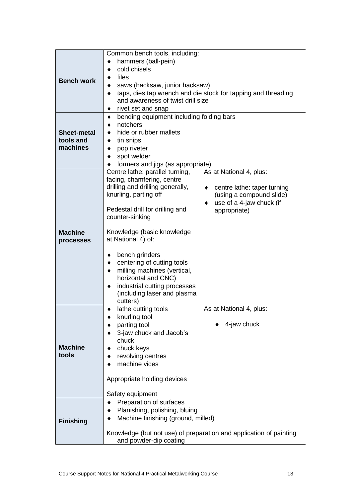|                                                        | Common bench tools, including:                                     |                             |  |
|--------------------------------------------------------|--------------------------------------------------------------------|-----------------------------|--|
|                                                        | hammers (ball-pein)                                                |                             |  |
|                                                        | cold chisels<br>٠                                                  |                             |  |
| <b>Bench work</b>                                      | files                                                              |                             |  |
|                                                        | saws (hacksaw, junior hacksaw)                                     |                             |  |
|                                                        | taps, dies tap wrench and die stock for tapping and threading<br>٠ |                             |  |
|                                                        | and awareness of twist drill size                                  |                             |  |
|                                                        | rivet set and snap                                                 |                             |  |
|                                                        | bending equipment including folding bars<br>٠<br>notchers          |                             |  |
|                                                        |                                                                    |                             |  |
| <b>Sheet-metal</b>                                     | hide or rubber mallets                                             |                             |  |
| tools and                                              | tin snips<br>٠                                                     |                             |  |
| machines                                               | pop riveter                                                        |                             |  |
|                                                        | spot welder                                                        |                             |  |
|                                                        | formers and jigs (as appropriate)                                  |                             |  |
|                                                        | Centre lathe: parallel turning,<br>As at National 4, plus:         |                             |  |
|                                                        | facing, chamfering, centre<br>drilling and drilling generally,     | centre lathe: taper turning |  |
|                                                        | knurling, parting off                                              | (using a compound slide)    |  |
|                                                        |                                                                    | use of a 4-jaw chuck (if    |  |
|                                                        | Pedestal drill for drilling and                                    | appropriate)                |  |
|                                                        | counter-sinking                                                    |                             |  |
|                                                        |                                                                    |                             |  |
| <b>Machine</b>                                         | Knowledge (basic knowledge                                         |                             |  |
| processes                                              | at National 4) of:                                                 |                             |  |
|                                                        |                                                                    |                             |  |
|                                                        | bench grinders                                                     |                             |  |
|                                                        | centering of cutting tools                                         |                             |  |
|                                                        | milling machines (vertical,                                        |                             |  |
|                                                        | horizontal and CNC)<br>industrial cutting processes                |                             |  |
|                                                        | (including laser and plasma                                        |                             |  |
|                                                        | cutters)                                                           |                             |  |
|                                                        | lathe cutting tools<br>٠                                           | As at National 4, plus:     |  |
|                                                        | knurling tool                                                      |                             |  |
|                                                        | parting tool                                                       | 4-jaw chuck                 |  |
|                                                        | 3-jaw chuck and Jacob's                                            |                             |  |
|                                                        | chuck                                                              |                             |  |
| <b>Machine</b>                                         | chuck keys                                                         |                             |  |
| tools                                                  | revolving centres                                                  |                             |  |
|                                                        | machine vices                                                      |                             |  |
|                                                        |                                                                    |                             |  |
|                                                        | Appropriate holding devices                                        |                             |  |
|                                                        | Safety equipment                                                   |                             |  |
|                                                        |                                                                    |                             |  |
|                                                        | Preparation of surfaces                                            |                             |  |
|                                                        | Planishing, polishing, bluing                                      |                             |  |
| Machine finishing (ground, milled)<br><b>Finishing</b> |                                                                    |                             |  |
|                                                        | Knowledge (but not use) of preparation and application of painting |                             |  |
|                                                        | and powder-dip coating                                             |                             |  |
|                                                        |                                                                    |                             |  |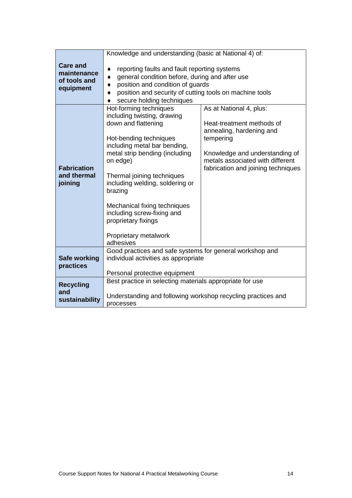|                                                             | Knowledge and understanding (basic at National 4) of:                                                                                                                                                                                                                                                                                                                                       |                                                                                                                                                                                                           |  |  |
|-------------------------------------------------------------|---------------------------------------------------------------------------------------------------------------------------------------------------------------------------------------------------------------------------------------------------------------------------------------------------------------------------------------------------------------------------------------------|-----------------------------------------------------------------------------------------------------------------------------------------------------------------------------------------------------------|--|--|
| <b>Care and</b><br>maintenance<br>of tools and<br>equipment | reporting faults and fault reporting systems<br>general condition before, during and after use<br>position and condition of guards<br>position and security of cutting tools on machine tools<br>secure holding techniques                                                                                                                                                                  |                                                                                                                                                                                                           |  |  |
| <b>Fabrication</b><br>and thermal<br>joining                | Hot-forming techniques<br>including twisting, drawing<br>down and flattening<br>Hot-bending techniques<br>including metal bar bending,<br>metal strip bending (including<br>on edge)<br>Thermal joining techniques<br>including welding, soldering or<br>brazing<br>Mechanical fixing techniques<br>including screw-fixing and<br>proprietary fixings<br>Proprietary metalwork<br>adhesives | As at National 4, plus:<br>Heat-treatment methods of<br>annealing, hardening and<br>tempering<br>Knowledge and understanding of<br>metals associated with different<br>fabrication and joining techniques |  |  |
| <b>Safe working</b><br>practices                            | Good practices and safe systems for general workshop and<br>individual activities as appropriate<br>Personal protective equipment                                                                                                                                                                                                                                                           |                                                                                                                                                                                                           |  |  |
| <b>Recycling</b><br>and<br>sustainability                   | Best practice in selecting materials appropriate for use<br>Understanding and following workshop recycling practices and<br>processes                                                                                                                                                                                                                                                       |                                                                                                                                                                                                           |  |  |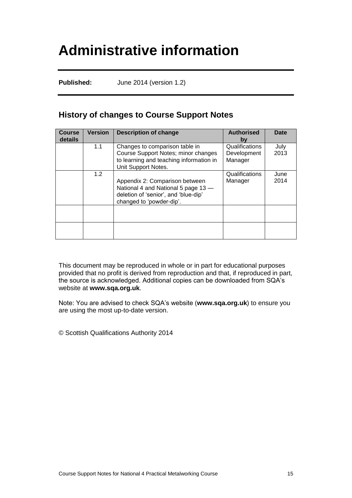## <span id="page-17-0"></span>**Administrative information**

**Published:** June 2014 (version 1.2)

### **History of changes to Course Support Notes**

| <b>Course</b><br><b>details</b> | <b>Version</b> | <b>Description of change</b>                                                                                                              | <b>Authorised</b><br>by                  | <b>Date</b>  |
|---------------------------------|----------------|-------------------------------------------------------------------------------------------------------------------------------------------|------------------------------------------|--------------|
|                                 | 1.1            | Changes to comparison table in<br>Course Support Notes; minor changes<br>to learning and teaching information in<br>Unit Support Notes.   | Qualifications<br>Development<br>Manager | July<br>2013 |
|                                 | 1.2            | Appendix 2: Comparison between<br>National 4 and National 5 page 13 -<br>deletion of 'senior', and 'blue-dip'<br>changed to 'powder-dip'. | Qualifications<br>Manager                | June<br>2014 |
|                                 |                |                                                                                                                                           |                                          |              |
|                                 |                |                                                                                                                                           |                                          |              |

This document may be reproduced in whole or in part for educational purposes provided that no profit is derived from reproduction and that, if reproduced in part, the source is acknowledged. Additional copies can be downloaded from SQA's website at **[www.sqa.org.uk](http://www.sqa.org.uk/)**.

Note: You are advised to check SQA's website (**[www.sqa.org.uk](http://www.sqa.org.uk/)**) to ensure you are using the most up-to-date version.

© Scottish Qualifications Authority 2014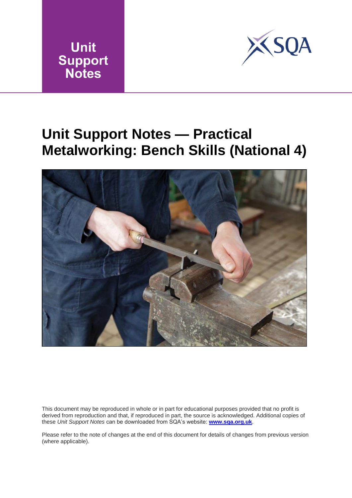



## <span id="page-18-0"></span>**Unit Support Notes — Practical Metalworking: Bench Skills (National 4)**



This document may be reproduced in whole or in part for educational purposes provided that no profit is derived from reproduction and that, if reproduced in part, the source is acknowledged. Additional copies of these *Unit Support Notes* can be downloaded from SQA's website: **[www.sqa.org.uk](http://www.sqa.org.uk/)**.

Please refer to the note of changes at the end of this document for details of changes from previous version (where applicable).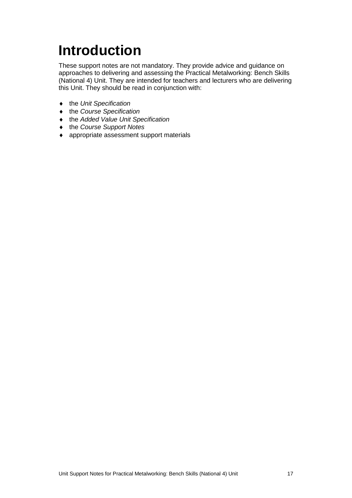# <span id="page-19-0"></span>**Introduction**

These support notes are not mandatory. They provide advice and guidance on approaches to delivering and assessing the Practical Metalworking: Bench Skills (National 4) Unit. They are intended for teachers and lecturers who are delivering this Unit. They should be read in conjunction with:

- the *Unit Specification*
- the *Course Specification*
- the *Added Value Unit Specification*
- the *Course Support Notes*
- appropriate assessment support materials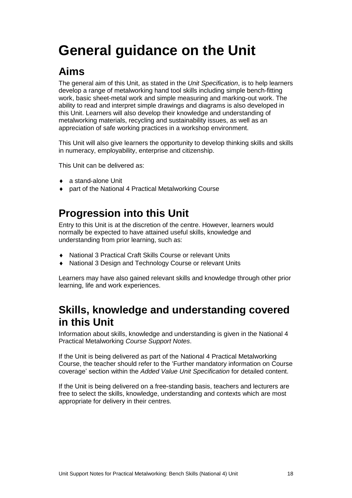# <span id="page-20-0"></span>**General guidance on the Unit**

### **Aims**

The general aim of this Unit, as stated in the *Unit Specification*, is to help learners develop a range of metalworking hand tool skills including simple bench-fitting work, basic sheet-metal work and simple measuring and marking-out work. The ability to read and interpret simple drawings and diagrams is also developed in this Unit. Learners will also develop their knowledge and understanding of metalworking materials, recycling and sustainability issues, as well as an appreciation of safe working practices in a workshop environment.

This Unit will also give learners the opportunity to develop thinking skills and skills in numeracy, employability, enterprise and citizenship.

This Unit can be delivered as:

- ◆ a stand-alone Unit
- ◆ part of the National 4 Practical Metalworking Course

### **Progression into this Unit**

Entry to this Unit is at the discretion of the centre. However, learners would normally be expected to have attained useful skills, knowledge and understanding from prior learning, such as:

- National 3 Practical Craft Skills Course or relevant Units
- National 3 Design and Technology Course or relevant Units

Learners may have also gained relevant skills and knowledge through other prior learning, life and work experiences.

### **Skills, knowledge and understanding covered in this Unit**

Information about skills, knowledge and understanding is given in the National 4 Practical Metalworking *Course Support Notes*.

If the Unit is being delivered as part of the National 4 Practical Metalworking Course, the teacher should refer to the 'Further mandatory information on Course coverage' section within the *Added Value Unit Specification* for detailed content.

If the Unit is being delivered on a free-standing basis, teachers and lecturers are free to select the skills, knowledge, understanding and contexts which are most appropriate for delivery in their centres.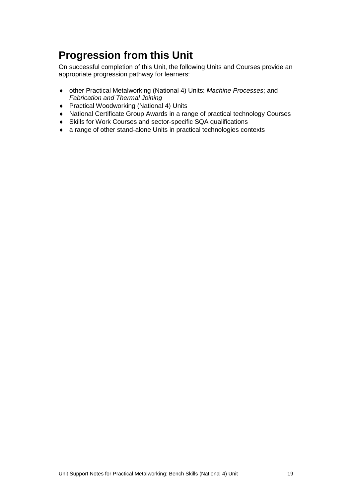### **Progression from this Unit**

On successful completion of this Unit, the following Units and Courses provide an appropriate progression pathway for learners:

- other Practical Metalworking (National 4) Units: *Machine Processes*; and *Fabrication and Thermal Joining*
- ◆ Practical Woodworking (National 4) Units
- National Certificate Group Awards in a range of practical technology Courses
- Skills for Work Courses and sector-specific SQA qualifications
- a range of other stand-alone Units in practical technologies contexts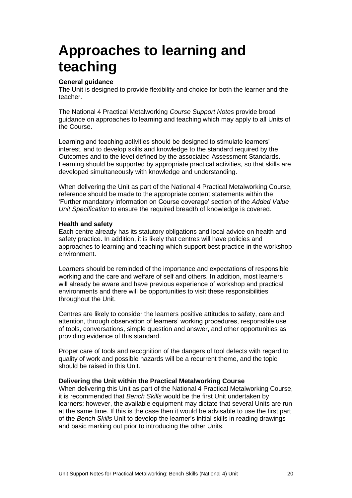## <span id="page-22-0"></span>**Approaches to learning and teaching**

#### **General guidance**

The Unit is designed to provide flexibility and choice for both the learner and the teacher.

The National 4 Practical Metalworking *Course Support Notes* provide broad guidance on approaches to learning and teaching which may apply to all Units of the Course.

Learning and teaching activities should be designed to stimulate learners' interest, and to develop skills and knowledge to the standard required by the Outcomes and to the level defined by the associated Assessment Standards. Learning should be supported by appropriate practical activities, so that skills are developed simultaneously with knowledge and understanding.

When delivering the Unit as part of the National 4 Practical Metalworking Course, reference should be made to the appropriate content statements within the 'Further mandatory information on Course coverage' section of the *Added Value Unit Specification* to ensure the required breadth of knowledge is covered.

#### **Health and safety**

Each centre already has its statutory obligations and local advice on health and safety practice. In addition, it is likely that centres will have policies and approaches to learning and teaching which support best practice in the workshop environment.

Learners should be reminded of the importance and expectations of responsible working and the care and welfare of self and others. In addition, most learners will already be aware and have previous experience of workshop and practical environments and there will be opportunities to visit these responsibilities throughout the Unit.

Centres are likely to consider the learners positive attitudes to safety, care and attention, through observation of learners' working procedures, responsible use of tools, conversations, simple question and answer, and other opportunities as providing evidence of this standard.

Proper care of tools and recognition of the dangers of tool defects with regard to quality of work and possible hazards will be a recurrent theme, and the topic should be raised in this Unit.

#### **Delivering the Unit within the Practical Metalworking Course**

When delivering this Unit as part of the National 4 Practical Metalworking Course, it is recommended that *Bench Skills* would be the first Unit undertaken by learners; however, the available equipment may dictate that several Units are run at the same time. If this is the case then it would be advisable to use the first part of the *Bench Skills* Unit to develop the learner's initial skills in reading drawings and basic marking out prior to introducing the other Units.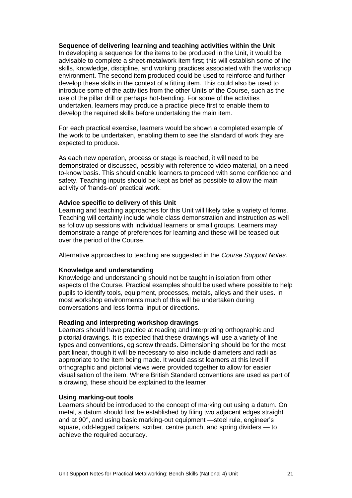#### **Sequence of delivering learning and teaching activities within the Unit**

In developing a sequence for the items to be produced in the Unit, it would be advisable to complete a sheet-metalwork item first; this will establish some of the skills, knowledge, discipline, and working practices associated with the workshop environment. The second item produced could be used to reinforce and further develop these skills in the context of a fitting item. This could also be used to introduce some of the activities from the other Units of the Course, such as the use of the pillar drill or perhaps hot-bending. For some of the activities undertaken, learners may produce a practice piece first to enable them to develop the required skills before undertaking the main item.

For each practical exercise, learners would be shown a completed example of the work to be undertaken, enabling them to see the standard of work they are expected to produce.

As each new operation, process or stage is reached, it will need to be demonstrated or discussed, possibly with reference to video material, on a needto-know basis. This should enable learners to proceed with some confidence and safety. Teaching inputs should be kept as brief as possible to allow the main activity of 'hands-on' practical work.

#### **Advice specific to delivery of this Unit**

Learning and teaching approaches for this Unit will likely take a variety of forms. Teaching will certainly include whole class demonstration and instruction as well as follow up sessions with individual learners or small groups. Learners may demonstrate a range of preferences for learning and these will be teased out over the period of the Course.

Alternative approaches to teaching are suggested in the *Course Support Notes.*

#### **Knowledge and understanding**

Knowledge and understanding should not be taught in isolation from other aspects of the Course. Practical examples should be used where possible to help pupils to identify tools, equipment, processes, metals, alloys and their uses. In most workshop environments much of this will be undertaken during conversations and less formal input or directions.

#### **Reading and interpreting workshop drawings**

Learners should have practice at reading and interpreting orthographic and pictorial drawings. It is expected that these drawings will use a variety of line types and conventions, eg screw threads. Dimensioning should be for the most part linear, though it will be necessary to also include diameters and radii as appropriate to the item being made. It would assist learners at this level if orthographic and pictorial views were provided together to allow for easier visualisation of the item. Where British Standard conventions are used as part of a drawing, these should be explained to the learner.

#### **Using marking-out tools**

Learners should be introduced to the concept of marking out using a datum. On metal, a datum should first be established by filing two adjacent edges straight and at 90°, and using basic marking-out equipment —steel rule, engineer's square, odd-legged calipers, scriber, centre punch, and spring dividers — to achieve the required accuracy.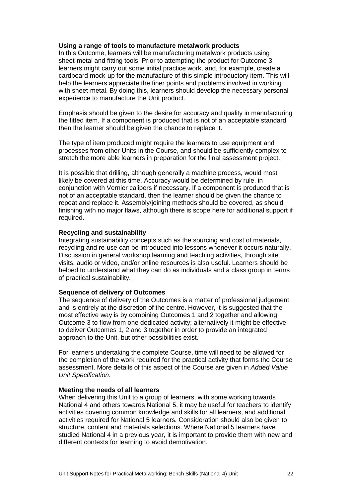#### **Using a range of tools to manufacture metalwork products**

In this Outcome, learners will be manufacturing metalwork products using sheet-metal and fitting tools. Prior to attempting the product for Outcome 3, learners might carry out some initial practice work, and, for example, create a cardboard mock-up for the manufacture of this simple introductory item. This will help the learners appreciate the finer points and problems involved in working with sheet-metal. By doing this, learners should develop the necessary personal experience to manufacture the Unit product.

Emphasis should be given to the desire for accuracy and quality in manufacturing the fitted item. If a component is produced that is not of an acceptable standard then the learner should be given the chance to replace it.

The type of item produced might require the learners to use equipment and processes from other Units in the Course, and should be sufficiently complex to stretch the more able learners in preparation for the final assessment project.

It is possible that drilling, although generally a machine process, would most likely be covered at this time. Accuracy would be determined by rule, in conjunction with Vernier calipers if necessary. If a component is produced that is not of an acceptable standard, then the learner should be given the chance to repeat and replace it. Assembly/joining methods should be covered, as should finishing with no major flaws, although there is scope here for additional support if required.

#### **Recycling and sustainability**

Integrating sustainability concepts such as the sourcing and cost of materials, recycling and re-use can be introduced into lessons whenever it occurs naturally. Discussion in general workshop learning and teaching activities, through site visits, audio or video, and/or online resources is also useful. Learners should be helped to understand what they can do as individuals and a class group in terms of practical sustainability.

#### **Sequence of delivery of Outcomes**

The sequence of delivery of the Outcomes is a matter of professional judgement and is entirely at the discretion of the centre. However, it is suggested that the most effective way is by combining Outcomes 1 and 2 together and allowing Outcome 3 to flow from one dedicated activity; alternatively it might be effective to deliver Outcomes 1, 2 and 3 together in order to provide an integrated approach to the Unit, but other possibilities exist.

For learners undertaking the complete Course, time will need to be allowed for the completion of the work required for the practical activity that forms the Course assessment. More details of this aspect of the Course are given in *Added Value Unit Specification.*

#### **Meeting the needs of all learners**

When delivering this Unit to a group of learners, with some working towards National 4 and others towards National 5, it may be useful for teachers to identify activities covering common knowledge and skills for all learners, and additional activities required for National 5 learners. Consideration should also be given to structure, content and materials selections. Where National 5 learners have studied National 4 in a previous year, it is important to provide them with new and different contexts for learning to avoid demotivation.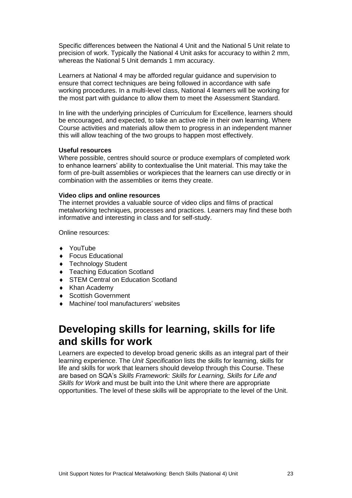Specific differences between the National 4 Unit and the National 5 Unit relate to precision of work. Typically the National 4 Unit asks for accuracy to within 2 mm, whereas the National 5 Unit demands 1 mm accuracy.

Learners at National 4 may be afforded regular guidance and supervision to ensure that correct techniques are being followed in accordance with safe working procedures. In a multi-level class, National 4 learners will be working for the most part with guidance to allow them to meet the Assessment Standard.

In line with the underlying principles of Curriculum for Excellence, learners should be encouraged, and expected, to take an active role in their own learning. Where Course activities and materials allow them to progress in an independent manner this will allow teaching of the two groups to happen most effectively.

#### **Useful resources**

Where possible, centres should source or produce exemplars of completed work to enhance learners' ability to contextualise the Unit material. This may take the form of pre-built assemblies or workpieces that the learners can use directly or in combination with the assemblies or items they create.

#### **Video clips and online resources**

The internet provides a valuable source of video clips and films of practical metalworking techniques, processes and practices. Learners may find these both informative and interesting in class and for self-study.

Online resources:

- YouTube
- ◆ Focus Educational
- ◆ Technology Student
- ◆ Teaching Education Scotland
- ◆ STEM Central on Education Scotland
- Khan Academy
- ◆ Scottish Government
- Machine/ tool manufacturers' websites

### **Developing skills for learning, skills for life and skills for work**

Learners are expected to develop broad generic skills as an integral part of their learning experience. The *Unit Specification* lists the skills for learning, skills for life and skills for work that learners should develop through this Course. These are based on SQA's *Skills Framework: Skills for Learning, Skills for Life and Skills for Work* and must be built into the Unit where there are appropriate opportunities. The level of these skills will be appropriate to the level of the Unit.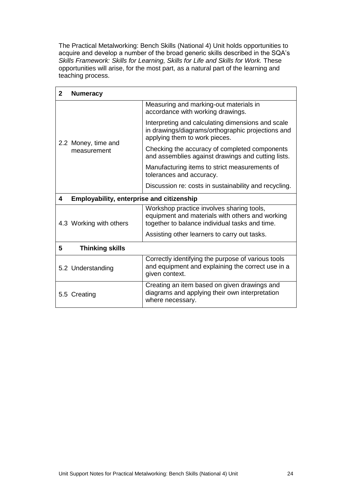The Practical Metalworking: Bench Skills (National 4) Unit holds opportunities to acquire and develop a number of the broad generic skills described in the SQA's Skills Framework: Skills for Learning, Skills for Life and Skills for Work. These opportunities will arise, for the most part, as a natural part of the learning and teaching process.

| $\mathbf{2}$ | <b>Numeracy</b>                           |                                                                                                                                                |
|--------------|-------------------------------------------|------------------------------------------------------------------------------------------------------------------------------------------------|
|              |                                           | Measuring and marking-out materials in<br>accordance with working drawings.                                                                    |
|              | 2.2 Money, time and<br>measurement        | Interpreting and calculating dimensions and scale<br>in drawings/diagrams/orthographic projections and<br>applying them to work pieces.        |
|              |                                           | Checking the accuracy of completed components<br>and assemblies against drawings and cutting lists.                                            |
|              |                                           | Manufacturing items to strict measurements of<br>tolerances and accuracy.                                                                      |
|              |                                           | Discussion re: costs in sustainability and recycling.                                                                                          |
| 4            | Employability, enterprise and citizenship |                                                                                                                                                |
|              | 4.3 Working with others                   | Workshop practice involves sharing tools,<br>equipment and materials with others and working<br>together to balance individual tasks and time. |
|              |                                           | Assisting other learners to carry out tasks.                                                                                                   |
| 5            | <b>Thinking skills</b>                    |                                                                                                                                                |
|              | 5.2 Understanding                         | Correctly identifying the purpose of various tools<br>and equipment and explaining the correct use in a<br>given context.                      |
|              | 5.5 Creating                              | Creating an item based on given drawings and<br>diagrams and applying their own interpretation<br>where necessary.                             |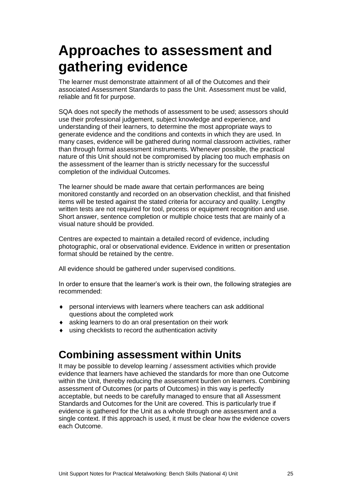## <span id="page-27-0"></span>**Approaches to assessment and gathering evidence**

The learner must demonstrate attainment of all of the Outcomes and their associated Assessment Standards to pass the Unit. Assessment must be valid, reliable and fit for purpose.

SQA does not specify the methods of assessment to be used; assessors should use their professional judgement, subject knowledge and experience, and understanding of their learners, to determine the most appropriate ways to generate evidence and the conditions and contexts in which they are used. In many cases, evidence will be gathered during normal classroom activities, rather than through formal assessment instruments. Whenever possible, the practical nature of this Unit should not be compromised by placing too much emphasis on the assessment of the learner than is strictly necessary for the successful completion of the individual Outcomes.

The learner should be made aware that certain performances are being monitored constantly and recorded on an observation checklist, and that finished items will be tested against the stated criteria for accuracy and quality. Lengthy written tests are not required for tool, process or equipment recognition and use. Short answer, sentence completion or multiple choice tests that are mainly of a visual nature should be provided.

Centres are expected to maintain a detailed record of evidence, including photographic, oral or observational evidence. Evidence in written or presentation format should be retained by the centre.

All evidence should be gathered under supervised conditions.

In order to ensure that the learner's work is their own, the following strategies are recommended:

- personal interviews with learners where teachers can ask additional questions about the completed work
- asking learners to do an oral presentation on their work
- using checklists to record the authentication activity

### **Combining assessment within Units**

It may be possible to develop learning / assessment activities which provide evidence that learners have achieved the standards for more than one Outcome within the Unit, thereby reducing the assessment burden on learners. Combining assessment of Outcomes (or parts of Outcomes) in this way is perfectly acceptable, but needs to be carefully managed to ensure that all Assessment Standards and Outcomes for the Unit are covered. This is particularly true if evidence is gathered for the Unit as a whole through one assessment and a single context. If this approach is used, it must be clear how the evidence covers each Outcome.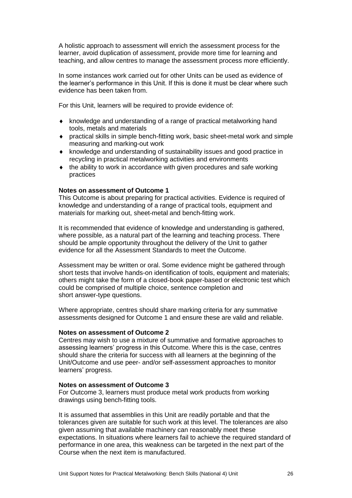A holistic approach to assessment will enrich the assessment process for the learner, avoid duplication of assessment, provide more time for learning and teaching, and allow centres to manage the assessment process more efficiently.

In some instances work carried out for other Units can be used as evidence of the learner's performance in this Unit. If this is done it must be clear where such evidence has been taken from.

For this Unit, learners will be required to provide evidence of:

- knowledge and understanding of a range of practical metalworking hand tools, metals and materials
- practical skills in simple bench-fitting work, basic sheet-metal work and simple measuring and marking-out work
- knowledge and understanding of sustainability issues and good practice in recycling in practical metalworking activities and environments
- $\bullet$  the ability to work in accordance with given procedures and safe working practices

#### **Notes on assessment of Outcome 1**

This Outcome is about preparing for practical activities. Evidence is required of knowledge and understanding of a range of practical tools, equipment and materials for marking out, sheet-metal and bench-fitting work.

It is recommended that evidence of knowledge and understanding is gathered, where possible, as a natural part of the learning and teaching process. There should be ample opportunity throughout the delivery of the Unit to gather evidence for all the Assessment Standards to meet the Outcome.

Assessment may be written or oral. Some evidence might be gathered through short tests that involve hands-on identification of tools, equipment and materials; others might take the form of a closed-book paper-based or electronic test which could be comprised of multiple choice, sentence completion and short answer-type questions.

Where appropriate, centres should share marking criteria for any summative assessments designed for Outcome 1 and ensure these are valid and reliable.

#### **Notes on assessment of Outcome 2**

Centres may wish to use a mixture of summative and formative approaches to assessing learners' progress in this Outcome. Where this is the case, centres should share the criteria for success with all learners at the beginning of the Unit/Outcome and use peer- and/or self-assessment approaches to monitor learners' progress.

#### **Notes on assessment of Outcome 3**

For Outcome 3, learners must produce metal work products from working drawings using bench-fitting tools.

It is assumed that assemblies in this Unit are readily portable and that the tolerances given are suitable for such work at this level. The tolerances are also given assuming that available machinery can reasonably meet these expectations. In situations where learners fail to achieve the required standard of performance in one area, this weakness can be targeted in the next part of the Course when the next item is manufactured.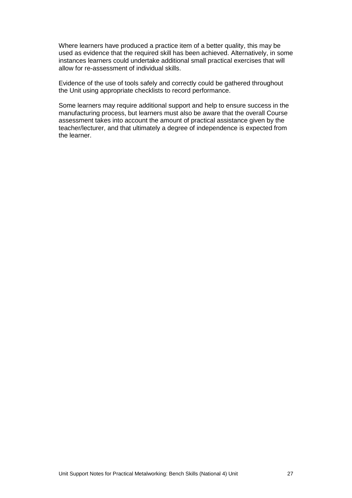Where learners have produced a practice item of a better quality, this may be used as evidence that the required skill has been achieved. Alternatively, in some instances learners could undertake additional small practical exercises that will allow for re-assessment of individual skills.

Evidence of the use of tools safely and correctly could be gathered throughout the Unit using appropriate checklists to record performance.

Some learners may require additional support and help to ensure success in the manufacturing process, but learners must also be aware that the overall Course assessment takes into account the amount of practical assistance given by the teacher/lecturer, and that ultimately a degree of independence is expected from the learner.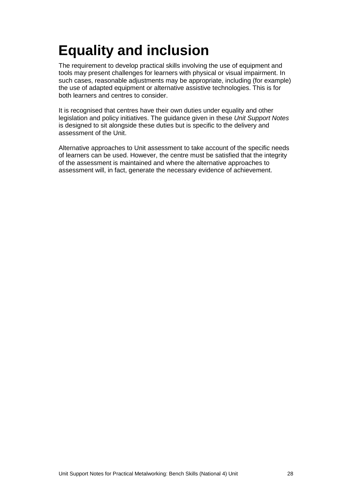# <span id="page-30-0"></span>**Equality and inclusion**

The requirement to develop practical skills involving the use of equipment and tools may present challenges for learners with physical or visual impairment. In such cases, reasonable adjustments may be appropriate, including (for example) the use of adapted equipment or alternative assistive technologies. This is for both learners and centres to consider.

It is recognised that centres have their own duties under equality and other legislation and policy initiatives. The guidance given in these *Unit Support Notes* is designed to sit alongside these duties but is specific to the delivery and assessment of the Unit.

Alternative approaches to Unit assessment to take account of the specific needs of learners can be used. However, the centre must be satisfied that the integrity of the assessment is maintained and where the alternative approaches to assessment will, in fact, generate the necessary evidence of achievement.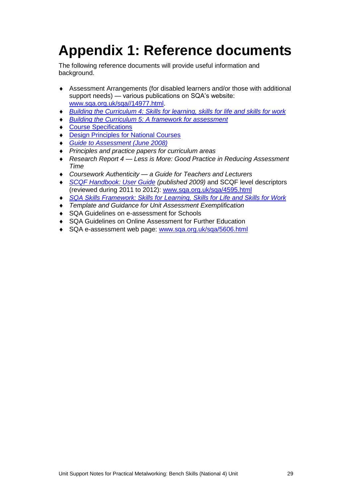# <span id="page-31-0"></span>**Appendix 1: Reference documents**

The following reference documents will provide useful information and background.

- Assessment Arrangements (for disabled learners and/or those with additional support needs) — various publications on SQA's website: [www.sqa.org.uk/sqa//14977.html.](http://www.sqa.org.uk/sqa/14977.html)
- *[Building the Curriculum 4: Skills for learning, skills for life and skills for work](http://www.ltscotland.org.uk/buildingyourcurriculum/policycontext/btc/btc4.asp)*
- *[Building the Curriculum 5: A framework for assessment](http://www.ltscotland.org.uk/buildingyourcurriculum/policycontext/btc/btc5.asp)*
- ◆ [Course Specifications](http://www.sqa.org.uk/browsecfesubjects)
- **[Design Principles for National Courses](http://www.sqa.org.uk/sqa/68410.5165.html)**
- *[Guide to Assessment \(June 2008\)](http://www.sqa.org.uk/files_ccc/25GuideToAssessment.pdf)*
- *Principles and practice papers for curriculum areas*
- *Research Report 4 — Less is More: Good Practice in Reducing Assessment Time*
- *Coursework Authenticity — a Guide for Teachers and Lecturers*
- ◆ *[SCQF Handbook: User Guide](http://www.scqf.org.uk/Resources) (published 2009)* and SCQF level descriptors (reviewed during 2011 to 2012): [www.sqa.org.uk/sqa/4595.html](http://www.sqa.org.uk/sqa/4595.html)
- *[SQA Skills Framework: Skills for Learning, Skills](http://www.sqa.org.uk/sqa/63101.html) for Life and Skills for Work*
- *Template and Guidance for Unit Assessment Exemplification*
- ◆ SQA Guidelines on e-assessment for Schools
- SQA Guidelines on Online Assessment for Further Education
- ◆ SQA e-assessment web page: [www.sqa.org.uk/sqa/5606.html](http://www.sqa.org.uk/sqa/5606.html)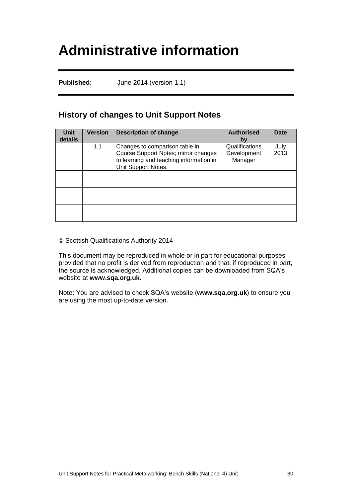## <span id="page-32-0"></span>**Administrative information**

**Published:** June 2014 (version 1.1)

### **History of changes to Unit Support Notes**

| <b>Unit</b><br>details | <b>Version</b> | <b>Description of change</b>                                                                                                            | <b>Authorised</b><br>bν                  | <b>Date</b>  |
|------------------------|----------------|-----------------------------------------------------------------------------------------------------------------------------------------|------------------------------------------|--------------|
|                        | 1.1            | Changes to comparison table in<br>Course Support Notes; minor changes<br>to learning and teaching information in<br>Unit Support Notes. | Qualifications<br>Development<br>Manager | July<br>2013 |
|                        |                |                                                                                                                                         |                                          |              |
|                        |                |                                                                                                                                         |                                          |              |
|                        |                |                                                                                                                                         |                                          |              |

© Scottish Qualifications Authority 2014

This document may be reproduced in whole or in part for educational purposes provided that no profit is derived from reproduction and that, if reproduced in part, the source is acknowledged. Additional copies can be downloaded from SQA's website at **[www.sqa.org.uk](http://www.sqa.org.uk/)**.

Note: You are advised to check SQA's website (**[www.sqa.org.uk](http://www.sqa.org.uk/)**) to ensure you are using the most up-to-date version.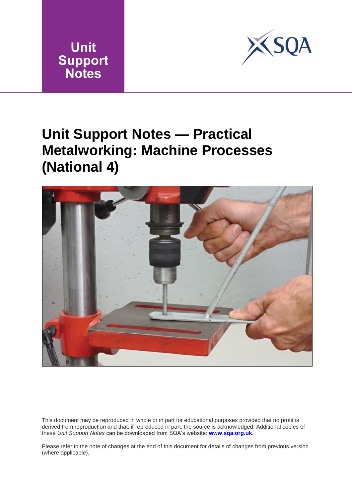



## <span id="page-33-0"></span>**Unit Support Notes — Practical Metalworking: Machine Processes (National 4)**



This document may be reproduced in whole or in part for educational purposes provided that no profit is derived from reproduction and that, if reproduced in part, the source is acknowledged. Additional copies of these *Unit Support Notes* can be downloaded from SQA's website: **[www.sqa.org.uk](http://www.sqa.org.uk/)**.

Please refer to the note of changes at the end of this document for details of changes from previous version (where applicable).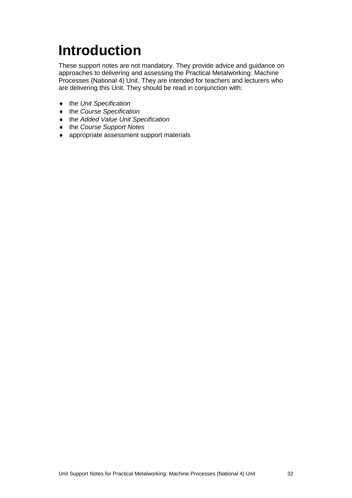# <span id="page-34-0"></span>**Introduction**

These support notes are not mandatory. They provide advice and guidance on approaches to delivering and assessing the Practical Metalworking: Machine Processes (National 4) Unit. They are intended for teachers and lecturers who are delivering this Unit. They should be read in conjunction with:

- the *Unit Specification*
- the *Course Specification*
- the *Added Value Unit Specification*
- the *Course Support Notes*
- appropriate assessment support materials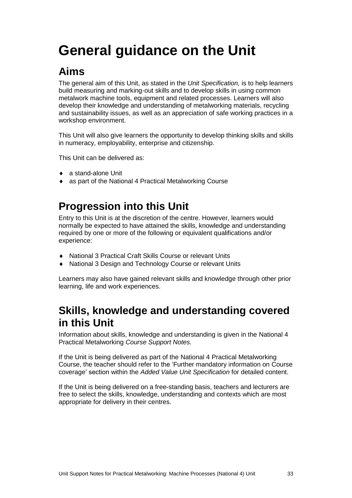# <span id="page-35-0"></span>**General guidance on the Unit**

### **Aims**

The general aim of this Unit, as stated in the *Unit Specification,* is to help learners build measuring and marking-out skills and to develop skills in using common metalwork machine tools, equipment and related processes. Learners will also develop their knowledge and understanding of metalworking materials, recycling and sustainability issues, as well as an appreciation of safe working practices in a workshop environment.

This Unit will also give learners the opportunity to develop thinking skills and skills in numeracy, employability, enterprise and citizenship.

This Unit can be delivered as:

- a stand-alone Unit
- as part of the National 4 Practical Metalworking Course

### **Progression into this Unit**

Entry to this Unit is at the discretion of the centre. However, learners would normally be expected to have attained the skills, knowledge and understanding required by one or more of the following or equivalent qualifications and/or experience:

- National 3 Practical Craft Skills Course or relevant Units
- National 3 Design and Technology Course or relevant Units

Learners may also have gained relevant skills and knowledge through other prior learning, life and work experiences.

### **Skills, knowledge and understanding covered in this Unit**

Information about skills, knowledge and understanding is given in the National 4 Practical Metalworking *Course Support Notes.*

If the Unit is being delivered as part of the National 4 Practical Metalworking Course, the teacher should refer to the 'Further mandatory information on Course coverage' section within the *Added Value Unit Specification* for detailed content.

If the Unit is being delivered on a free-standing basis, teachers and lecturers are free to select the skills, knowledge, understanding and contexts which are most appropriate for delivery in their centres.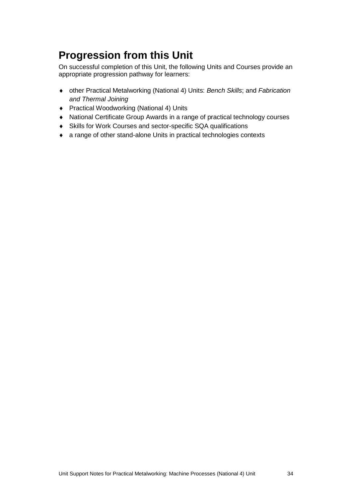### **Progression from this Unit**

On successful completion of this Unit, the following Units and Courses provide an appropriate progression pathway for learners:

- other Practical Metalworking (National 4) Units: *Bench Skills*; and *Fabrication and Thermal Joining*
- ◆ Practical Woodworking (National 4) Units
- National Certificate Group Awards in a range of practical technology courses
- Skills for Work Courses and sector-specific SQA qualifications
- a range of other stand-alone Units in practical technologies contexts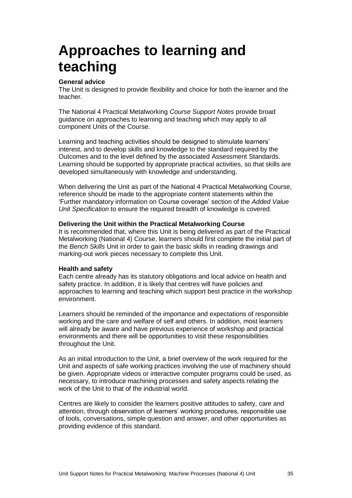## <span id="page-37-0"></span>**Approaches to learning and teaching**

#### **General advice**

The Unit is designed to provide flexibility and choice for both the learner and the teacher.

The National 4 Practical Metalworking *Course Support Notes* provide broad guidance on approaches to learning and teaching which may apply to all component Units of the Course.

Learning and teaching activities should be designed to stimulate learners' interest, and to develop skills and knowledge to the standard required by the Outcomes and to the level defined by the associated Assessment Standards. Learning should be supported by appropriate practical activities, so that skills are developed simultaneously with knowledge and understanding.

When delivering the Unit as part of the National 4 Practical Metalworking Course, reference should be made to the appropriate content statements within the 'Further mandatory information on Course coverage' section of the *Added Value Unit Specification* to ensure the required breadth of knowledge is covered.

#### **Delivering the Unit within the Practical Metalworking Course**

It is recommended that, where this Unit is being delivered as part of the Practical Metalworking (National 4) Course, learners should first complete the initial part of the *Bench Skills* Unit in order to gain the basic skills in reading drawings and marking-out work pieces necessary to complete this Unit.

#### **Health and safety**

Each centre already has its statutory obligations and local advice on health and safety practice. In addition, it is likely that centres will have policies and approaches to learning and teaching which support best practice in the workshop environment.

Learners should be reminded of the importance and expectations of responsible working and the care and welfare of self and others. In addition, most learners will already be aware and have previous experience of workshop and practical environments and there will be opportunities to visit these responsibilities throughout the Unit.

As an initial introduction to the Unit, a brief overview of the work required for the Unit and aspects of safe working practices involving the use of machinery should be given. Appropriate videos or interactive computer programs could be used, as necessary, to introduce machining processes and safety aspects relating the work of the Unit to that of the industrial world.

Centres are likely to consider the learners positive attitudes to safety, care and attention, through observation of learners' working procedures, responsible use of tools, conversations, simple question and answer, and other opportunities as providing evidence of this standard.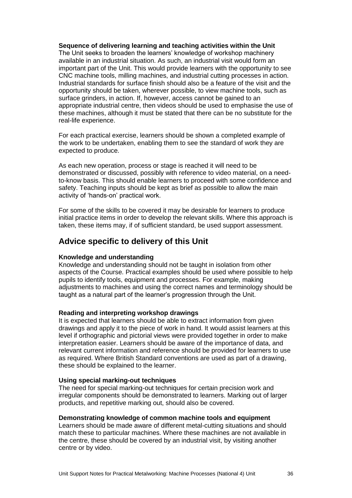#### **Sequence of delivering learning and teaching activities within the Unit**

The Unit seeks to broaden the learners' knowledge of workshop machinery available in an industrial situation. As such, an industrial visit would form an important part of the Unit. This would provide learners with the opportunity to see CNC machine tools, milling machines, and industrial cutting processes in action. Industrial standards for surface finish should also be a feature of the visit and the opportunity should be taken, wherever possible, to view machine tools, such as surface grinders, in action. If, however, access cannot be gained to an appropriate industrial centre, then videos should be used to emphasise the use of these machines, although it must be stated that there can be no substitute for the real-life experience.

For each practical exercise, learners should be shown a completed example of the work to be undertaken, enabling them to see the standard of work they are expected to produce.

As each new operation, process or stage is reached it will need to be demonstrated or discussed, possibly with reference to video material, on a needto-know basis. This should enable learners to proceed with some confidence and safety. Teaching inputs should be kept as brief as possible to allow the main activity of 'hands-on' practical work.

For some of the skills to be covered it may be desirable for learners to produce initial practice items in order to develop the relevant skills. Where this approach is taken, these items may, if of sufficient standard, be used support assessment.

### **Advice specific to delivery of this Unit**

#### **Knowledge and understanding**

Knowledge and understanding should not be taught in isolation from other aspects of the Course. Practical examples should be used where possible to help pupils to identify tools, equipment and processes. For example, making adjustments to machines and using the correct names and terminology should be taught as a natural part of the learner's progression through the Unit.

#### **Reading and interpreting workshop drawings**

It is expected that learners should be able to extract information from given drawings and apply it to the piece of work in hand. It would assist learners at this level if orthographic and pictorial views were provided together in order to make interpretation easier. Learners should be aware of the importance of data, and relevant current information and reference should be provided for learners to use as required. Where British Standard conventions are used as part of a drawing, these should be explained to the learner.

#### **Using special marking-out techniques**

The need for special marking-out techniques for certain precision work and irregular components should be demonstrated to learners. Marking out of larger products, and repetitive marking out, should also be covered.

#### **Demonstrating knowledge of common machine tools and equipment**

Learners should be made aware of different metal-cutting situations and should match these to particular machines. Where these machines are not available in the centre, these should be covered by an industrial visit, by visiting another centre or by video.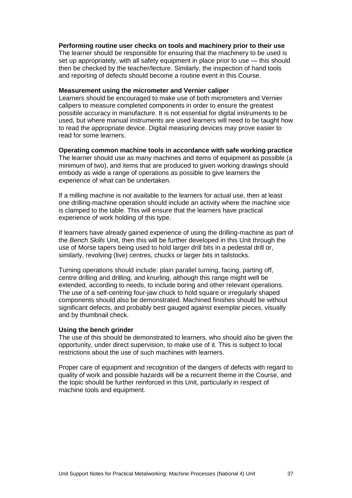#### **Performing routine user checks on tools and machinery prior to their use**

The learner should be responsible for ensuring that the machinery to be used is set up appropriately, with all safety equipment in place prior to use — this should then be checked by the teacher/lecture. Similarly, the inspection of hand tools and reporting of defects should become a routine event in this Course.

#### **Measurement using the micrometer and Vernier caliper**

Learners should be encouraged to make use of both micrometers and Vernier calipers to measure completed components in order to ensure the greatest possible accuracy in manufacture. It is not essential for digital instruments to be used, but where manual instruments are used learners will need to be taught how to read the appropriate device. Digital measuring devices may prove easier to read for some learners.

**Operating common machine tools in accordance with safe working practice** The learner should use as many machines and items of equipment as possible (a minimum of two), and items that are produced to given working drawings should embody as wide a range of operations as possible to give learners the experience of what can be undertaken.

If a milling machine is not available to the learners for actual use, then at least one drilling-machine operation should include an activity where the machine vice is clamped to the table. This will ensure that the learners have practical experience of work holding of this type.

If learners have already gained experience of using the drilling-machine as part of the *Bench Skills* Unit, then this will be further developed in this Unit through the use of Morse tapers being used to hold larger drill bits in a pedestal drill or, similarly, revolving (live) centres, chucks or larger bits in tailstocks.

Turning operations should include: plain parallel turning, facing, parting off, centre drilling and drilling, and knurling, although this range might well be extended, according to needs, to include boring and other relevant operations. The use of a self-centring four-jaw chuck to hold square or irregularly shaped components should also be demonstrated. Machined finishes should be without significant defects, and probably best gauged against exemplar pieces, visually and by thumbnail check.

#### **Using the bench grinder**

The use of this should be demonstrated to learners, who should also be given the opportunity, under direct supervision, to make use of it. This is subject to local restrictions about the use of such machines with learners.

Proper care of equipment and recognition of the dangers of defects with regard to quality of work and possible hazards will be a recurrent theme in the Course, and the topic should be further reinforced in this Unit, particularly in respect of machine tools and equipment.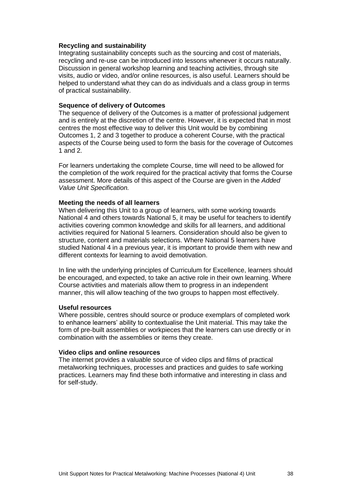#### **Recycling and sustainability**

Integrating sustainability concepts such as the sourcing and cost of materials, recycling and re-use can be introduced into lessons whenever it occurs naturally. Discussion in general workshop learning and teaching activities, through site visits, audio or video, and/or online resources, is also useful. Learners should be helped to understand what they can do as individuals and a class group in terms of practical sustainability.

#### **Sequence of delivery of Outcomes**

The sequence of delivery of the Outcomes is a matter of professional judgement and is entirely at the discretion of the centre. However, it is expected that in most centres the most effective way to deliver this Unit would be by combining Outcomes 1, 2 and 3 together to produce a coherent Course, with the practical aspects of the Course being used to form the basis for the coverage of Outcomes 1 and 2.

For learners undertaking the complete Course, time will need to be allowed for the completion of the work required for the practical activity that forms the Course assessment. More details of this aspect of the Course are given in the *Added Value Unit Specification.*

#### **Meeting the needs of all learners**

When delivering this Unit to a group of learners, with some working towards National 4 and others towards National 5, it may be useful for teachers to identify activities covering common knowledge and skills for all learners, and additional activities required for National 5 learners. Consideration should also be given to structure, content and materials selections. Where National 5 learners have studied National 4 in a previous year, it is important to provide them with new and different contexts for learning to avoid demotivation.

In line with the underlying principles of Curriculum for Excellence, learners should be encouraged, and expected, to take an active role in their own learning. Where Course activities and materials allow them to progress in an independent manner, this will allow teaching of the two groups to happen most effectively.

#### **Useful resources**

Where possible, centres should source or produce exemplars of completed work to enhance learners' ability to contextualise the Unit material. This may take the form of pre-built assemblies or workpieces that the learners can use directly or in combination with the assemblies or items they create.

#### **Video clips and online resources**

The internet provides a valuable source of video clips and films of practical metalworking techniques, processes and practices and guides to safe working practices. Learners may find these both informative and interesting in class and for self-study.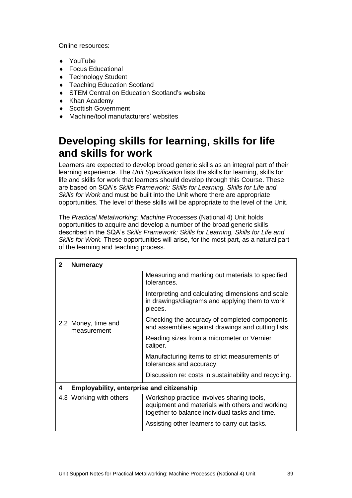Online resources:

- YouTube
- Focus Educational
- Technology Student
- Teaching Education Scotland
- ◆ STEM Central on Education Scotland's website
- Khan Academy
- ◆ Scottish Government
- Machine/tool manufacturers' websites

### **Developing skills for learning, skills for life and skills for work**

Learners are expected to develop broad generic skills as an integral part of their learning experience. The *Unit Specification* lists the skills for learning, skills for life and skills for work that learners should develop through this Course. These are based on SQA's *Skills Framework: Skills for Learning, Skills for Life and Skills for Work* and must be built into the Unit where there are appropriate opportunities. The level of these skills will be appropriate to the level of the Unit.

The *Practical Metalworking: Machine Processes* (National 4) Unit holds opportunities to acquire and develop a number of the broad generic skills described in the SQA's *Skills Framework: Skills for Learning, Skills for Life and Skills for Work.* These opportunities will arise, for the most part, as a natural part of the learning and teaching process.

| $\mathbf{2}$ | <b>Numeracy</b>                           |                                                                                                                                                |
|--------------|-------------------------------------------|------------------------------------------------------------------------------------------------------------------------------------------------|
|              |                                           | Measuring and marking out materials to specified<br>tolerances.                                                                                |
|              |                                           | Interpreting and calculating dimensions and scale<br>in drawings/diagrams and applying them to work<br>pieces.                                 |
|              | 2.2 Money, time and<br>measurement        | Checking the accuracy of completed components<br>and assemblies against drawings and cutting lists.                                            |
|              |                                           | Reading sizes from a micrometer or Vernier<br>caliper.                                                                                         |
|              |                                           | Manufacturing items to strict measurements of<br>tolerances and accuracy.                                                                      |
|              |                                           | Discussion re: costs in sustainability and recycling.                                                                                          |
| 4            | Employability, enterprise and citizenship |                                                                                                                                                |
|              | 4.3 Working with others                   | Workshop practice involves sharing tools,<br>equipment and materials with others and working<br>together to balance individual tasks and time. |
|              |                                           | Assisting other learners to carry out tasks.                                                                                                   |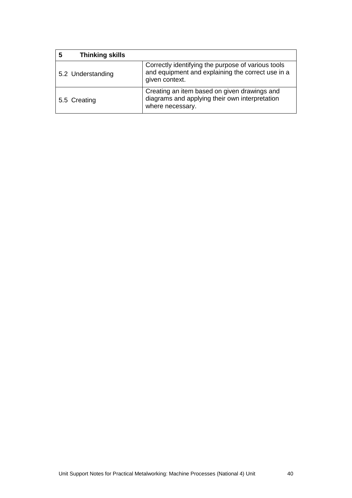| <b>Thinking skills</b><br>5 |                                                                                                                           |
|-----------------------------|---------------------------------------------------------------------------------------------------------------------------|
| 5.2 Understanding           | Correctly identifying the purpose of various tools<br>and equipment and explaining the correct use in a<br>given context. |
| 5.5 Creating                | Creating an item based on given drawings and<br>diagrams and applying their own interpretation<br>where necessary.        |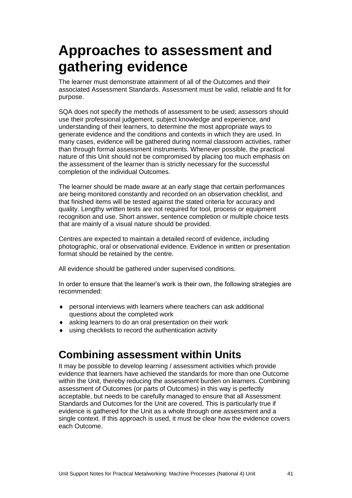## <span id="page-43-0"></span>**Approaches to assessment and gathering evidence**

The learner must demonstrate attainment of all of the Outcomes and their associated Assessment Standards. Assessment must be valid, reliable and fit for purpose.

SQA does not specify the methods of assessment to be used; assessors should use their professional judgement, subject knowledge and experience, and understanding of their learners, to determine the most appropriate ways to generate evidence and the conditions and contexts in which they are used. In many cases, evidence will be gathered during normal classroom activities, rather than through formal assessment instruments. Whenever possible, the practical nature of this Unit should not be compromised by placing too much emphasis on the assessment of the learner than is strictly necessary for the successful completion of the individual Outcomes.

The learner should be made aware at an early stage that certain performances are being monitored constantly and recorded on an observation checklist, and that finished items will be tested against the stated criteria for accuracy and quality. Lengthy written tests are not required for tool, process or equipment recognition and use. Short answer, sentence completion or multiple choice tests that are mainly of a visual nature should be provided.

Centres are expected to maintain a detailed record of evidence, including photographic, oral or observational evidence. Evidence in written or presentation format should be retained by the centre.

All evidence should be gathered under supervised conditions.

In order to ensure that the learner's work is their own, the following strategies are recommended:

- personal interviews with learners where teachers can ask additional questions about the completed work
- asking learners to do an oral presentation on their work
- using checklists to record the authentication activity

### **Combining assessment within Units**

It may be possible to develop learning / assessment activities which provide evidence that learners have achieved the standards for more than one Outcome within the Unit, thereby reducing the assessment burden on learners. Combining assessment of Outcomes (or parts of Outcomes) in this way is perfectly acceptable, but needs to be carefully managed to ensure that all Assessment Standards and Outcomes for the Unit are covered. This is particularly true if evidence is gathered for the Unit as a whole through one assessment and a single context. If this approach is used, it must be clear how the evidence covers each Outcome.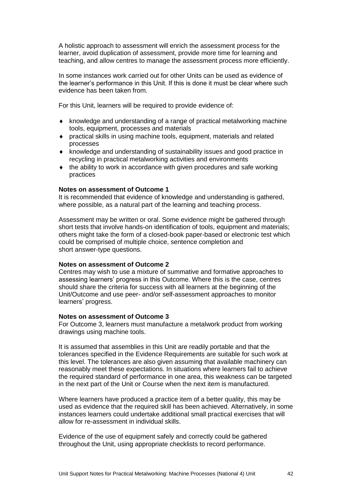A holistic approach to assessment will enrich the assessment process for the learner, avoid duplication of assessment, provide more time for learning and teaching, and allow centres to manage the assessment process more efficiently.

In some instances work carried out for other Units can be used as evidence of the learner's performance in this Unit. If this is done it must be clear where such evidence has been taken from.

For this Unit, learners will be required to provide evidence of:

- knowledge and understanding of a range of practical metalworking machine tools, equipment, processes and materials
- practical skills in using machine tools, equipment, materials and related processes
- knowledge and understanding of sustainability issues and good practice in recycling in practical metalworking activities and environments
- $\bullet$  the ability to work in accordance with given procedures and safe working practices

#### **Notes on assessment of Outcome 1**

It is recommended that evidence of knowledge and understanding is gathered, where possible, as a natural part of the learning and teaching process.

Assessment may be written or oral. Some evidence might be gathered through short tests that involve hands-on identification of tools, equipment and materials; others might take the form of a closed-book paper-based or electronic test which could be comprised of multiple choice, sentence completion and short answer-type questions.

#### **Notes on assessment of Outcome 2**

Centres may wish to use a mixture of summative and formative approaches to assessing learners' progress in this Outcome. Where this is the case, centres should share the criteria for success with all learners at the beginning of the Unit/Outcome and use peer- and/or self-assessment approaches to monitor learners' progress.

#### **Notes on assessment of Outcome 3**

For Outcome 3, learners must manufacture a metalwork product from working drawings using machine tools.

It is assumed that assemblies in this Unit are readily portable and that the tolerances specified in the Evidence Requirements are suitable for such work at this level. The tolerances are also given assuming that available machinery can reasonably meet these expectations. In situations where learners fail to achieve the required standard of performance in one area, this weakness can be targeted in the next part of the Unit or Course when the next item is manufactured.

Where learners have produced a practice item of a better quality, this may be used as evidence that the required skill has been achieved. Alternatively, in some instances learners could undertake additional small practical exercises that will allow for re-assessment in individual skills.

Evidence of the use of equipment safely and correctly could be gathered throughout the Unit, using appropriate checklists to record performance.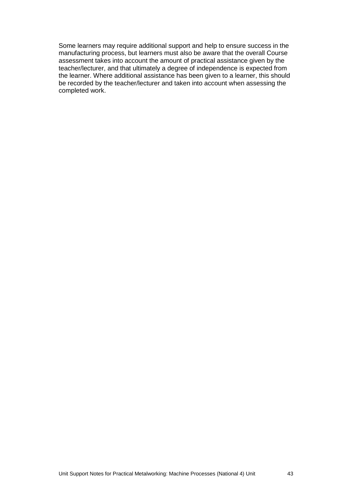Some learners may require additional support and help to ensure success in the manufacturing process, but learners must also be aware that the overall Course assessment takes into account the amount of practical assistance given by the teacher/lecturer, and that ultimately a degree of independence is expected from the learner. Where additional assistance has been given to a learner, this should be recorded by the teacher/lecturer and taken into account when assessing the completed work.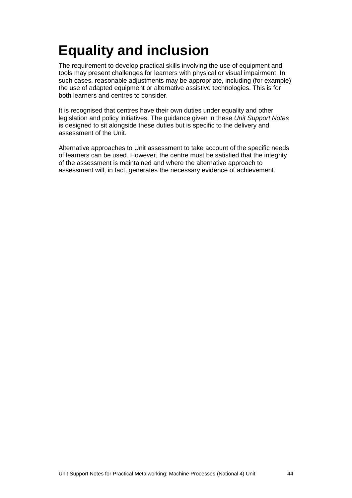# <span id="page-46-0"></span>**Equality and inclusion**

The requirement to develop practical skills involving the use of equipment and tools may present challenges for learners with physical or visual impairment. In such cases, reasonable adjustments may be appropriate, including (for example) the use of adapted equipment or alternative assistive technologies. This is for both learners and centres to consider.

It is recognised that centres have their own duties under equality and other legislation and policy initiatives. The guidance given in these *Unit Support Notes*  is designed to sit alongside these duties but is specific to the delivery and assessment of the Unit.

Alternative approaches to Unit assessment to take account of the specific needs of learners can be used. However, the centre must be satisfied that the integrity of the assessment is maintained and where the alternative approach to assessment will, in fact, generates the necessary evidence of achievement.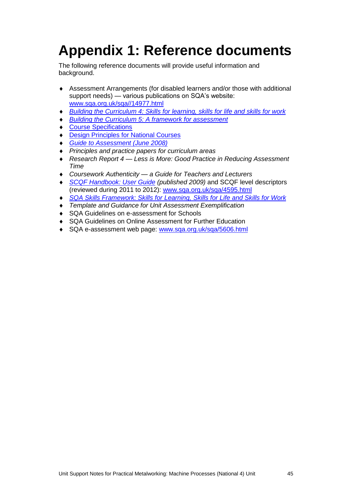# <span id="page-47-0"></span>**Appendix 1: Reference documents**

The following reference documents will provide useful information and background.

- Assessment Arrangements (for disabled learners and/or those with additional support needs) — various publications on SQA's website: [www.sqa.org.uk/sqa//14977.html](http://www.sqa.org.uk/sqa/14977.html)
- *[Building the Curriculum 4: Skills for learning, skills for life and skills for work](http://www.ltscotland.org.uk/buildingyourcurriculum/policycontext/btc/btc4.asp)*
- *[Building the Curriculum 5: A framework for assessment](http://www.ltscotland.org.uk/buildingyourcurriculum/policycontext/btc/btc5.asp)*
- ◆ [Course Specifications](http://www.sqa.org.uk/browsecfesubjects)
- **[Design Principles for National Courses](http://www.sqa.org.uk/sqa/68410.5165.html)**
- *[Guide to Assessment \(June 2008\)](http://www.sqa.org.uk/files_ccc/25GuideToAssessment.pdf)*
- *Principles and practice papers for curriculum areas*
- *Research Report 4 — Less is More: Good Practice in Reducing Assessment Time*
- *Coursework Authenticity — a Guide for Teachers and Lecturers*
- ◆ *[SCQF Handbook: User Guide](http://www.scqf.org.uk/Resources) (published 2009)* and SCQF level descriptors (reviewed during 2011 to 2012): [www.sqa.org.uk/sqa/4595.html](http://www.sqa.org.uk/sqa/4595.html)
- *[SQA Skills Framework: Skills for Learning, Skills](http://www.sqa.org.uk/sqa/63101.html) for Life and Skills for Work*
- *Template and Guidance for Unit Assessment Exemplification*
- ◆ SQA Guidelines on e-assessment for Schools
- SQA Guidelines on Online Assessment for Further Education
- ◆ SQA e-assessment web page: [www.sqa.org.uk/sqa/5606.html](http://www.sqa.org.uk/sqa/5606.html)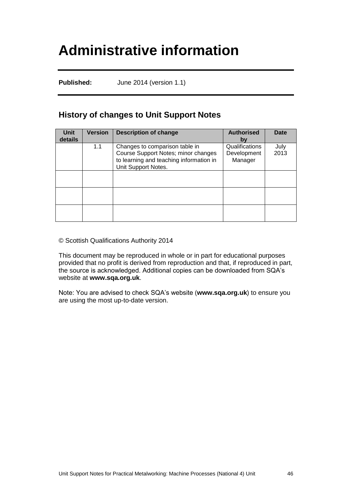## <span id="page-48-0"></span>**Administrative information**

**Published:** June 2014 (version 1.1)

### **History of changes to Unit Support Notes**

| <b>Unit</b><br>details | <b>Version</b> | <b>Description of change</b>                                                                                                            | <b>Authorised</b><br>by                  | <b>Date</b>  |
|------------------------|----------------|-----------------------------------------------------------------------------------------------------------------------------------------|------------------------------------------|--------------|
|                        | 1.1            | Changes to comparison table in<br>Course Support Notes; minor changes<br>to learning and teaching information in<br>Unit Support Notes. | Qualifications<br>Development<br>Manager | July<br>2013 |
|                        |                |                                                                                                                                         |                                          |              |
|                        |                |                                                                                                                                         |                                          |              |
|                        |                |                                                                                                                                         |                                          |              |

© Scottish Qualifications Authority 2014

This document may be reproduced in whole or in part for educational purposes provided that no profit is derived from reproduction and that, if reproduced in part, the source is acknowledged. Additional copies can be downloaded from SQA's website at **[www.sqa.org.uk](http://www.sqa.org.uk/)**.

Note: You are advised to check SQA's website (**[www.sqa.org.uk](http://www.sqa.org.uk/)**) to ensure you are using the most up-to-date version.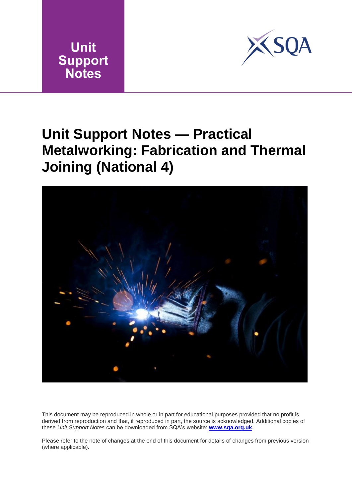



## <span id="page-49-0"></span>**Unit Support Notes — Practical Metalworking: Fabrication and Thermal Joining (National 4)**



This document may be reproduced in whole or in part for educational purposes provided that no profit is derived from reproduction and that, if reproduced in part, the source is acknowledged. Additional copies of these *Unit Support Notes* can be downloaded from SQA's website: **[www.sqa.org.uk](http://www.sqa.org.uk/)**.

Please refer to the note of changes at the end of this document for details of changes from previous version (where applicable).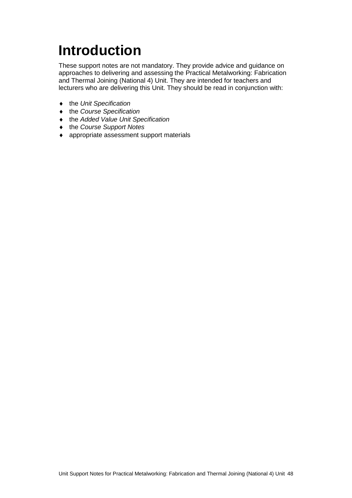# <span id="page-50-0"></span>**Introduction**

These support notes are not mandatory. They provide advice and guidance on approaches to delivering and assessing the Practical Metalworking: Fabrication and Thermal Joining (National 4) Unit. They are intended for teachers and lecturers who are delivering this Unit. They should be read in conjunction with:

- the *Unit Specification*
- the *Course Specification*
- the *Added Value Unit Specification*
- the *Course Support Notes*
- appropriate assessment support materials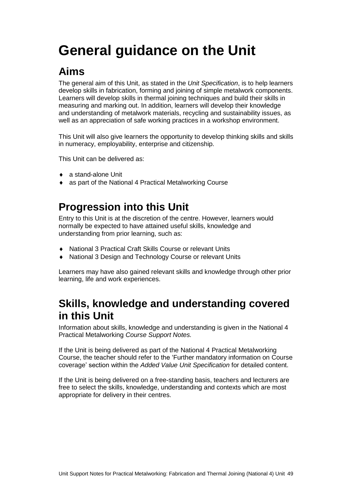# <span id="page-51-0"></span>**General guidance on the Unit**

### **Aims**

The general aim of this Unit, as stated in the *Unit Specification*, is to help learners develop skills in fabrication, forming and joining of simple metalwork components. Learners will develop skills in thermal joining techniques and build their skills in measuring and marking out. In addition, learners will develop their knowledge and understanding of metalwork materials, recycling and sustainability issues, as well as an appreciation of safe working practices in a workshop environment.

This Unit will also give learners the opportunity to develop thinking skills and skills in numeracy, employability, enterprise and citizenship.

This Unit can be delivered as:

- ◆ a stand-alone Unit
- as part of the National 4 Practical Metalworking Course

### **Progression into this Unit**

Entry to this Unit is at the discretion of the centre. However, learners would normally be expected to have attained useful skills, knowledge and understanding from prior learning, such as:

- National 3 Practical Craft Skills Course or relevant Units
- National 3 Design and Technology Course or relevant Units

Learners may have also gained relevant skills and knowledge through other prior learning, life and work experiences.

### **Skills, knowledge and understanding covered in this Unit**

Information about skills, knowledge and understanding is given in the National 4 Practical Metalworking *Course Support Notes.*

If the Unit is being delivered as part of the National 4 Practical Metalworking Course, the teacher should refer to the 'Further mandatory information on Course coverage' section within the *Added Value Unit Specification* for detailed content.

If the Unit is being delivered on a free-standing basis, teachers and lecturers are free to select the skills, knowledge, understanding and contexts which are most appropriate for delivery in their centres.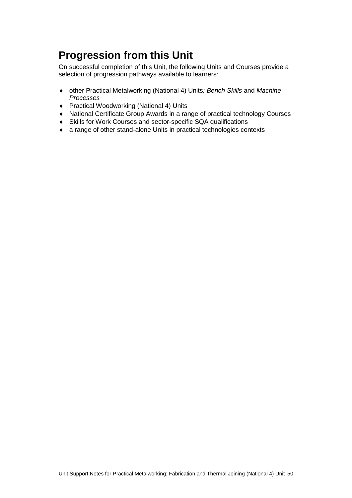### **Progression from this Unit**

On successful completion of this Unit, the following Units and Courses provide a selection of progression pathways available to learners:

- other Practical Metalworking (National 4) Units*: Bench Skills* and *Machine Processes*
- ◆ Practical Woodworking (National 4) Units
- National Certificate Group Awards in a range of practical technology Courses
- Skills for Work Courses and sector-specific SQA qualifications
- a range of other stand-alone Units in practical technologies contexts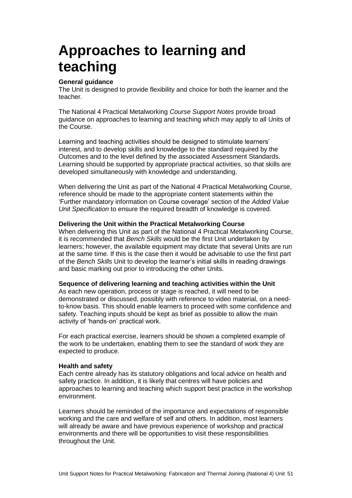## <span id="page-53-0"></span>**Approaches to learning and teaching**

#### **General guidance**

The Unit is designed to provide flexibility and choice for both the learner and the teacher.

The National 4 Practical Metalworking *Course Support Notes* provide broad guidance on approaches to learning and teaching which may apply to all Units of the Course.

Learning and teaching activities should be designed to stimulate learners' interest, and to develop skills and knowledge to the standard required by the Outcomes and to the level defined by the associated Assessment Standards. Learning should be supported by appropriate practical activities, so that skills are developed simultaneously with knowledge and understanding.

When delivering the Unit as part of the National 4 Practical Metalworking Course, reference should be made to the appropriate content statements within the 'Further mandatory information on Course coverage' section of the *Added Value Unit Specification* to ensure the required breadth of knowledge is covered.

#### **Delivering the Unit within the Practical Metalworking Course**

When delivering this Unit as part of the National 4 Practical Metalworking Course, it is recommended that *Bench Skills* would be the first Unit undertaken by learners; however, the available equipment may dictate that several Units are run at the same time. If this is the case then it would be advisable to use the first part of the *Bench Skills* Unit to develop the learner's initial skills in reading drawings and basic marking out prior to introducing the other Units.

#### **Sequence of delivering learning and teaching activities within the Unit**

As each new operation, process or stage is reached, it will need to be demonstrated or discussed, possibly with reference to video material, on a needto-know basis. This should enable learners to proceed with some confidence and safety. Teaching inputs should be kept as brief as possible to allow the main activity of 'hands-on' practical work.

For each practical exercise, learners should be shown a completed example of the work to be undertaken, enabling them to see the standard of work they are expected to produce.

#### **Health and safety**

Each centre already has its statutory obligations and local advice on health and safety practice. In addition, it is likely that centres will have policies and approaches to learning and teaching which support best practice in the workshop environment.

Learners should be reminded of the importance and expectations of responsible working and the care and welfare of self and others. In addition, most learners will already be aware and have previous experience of workshop and practical environments and there will be opportunities to visit these responsibilities throughout the Unit.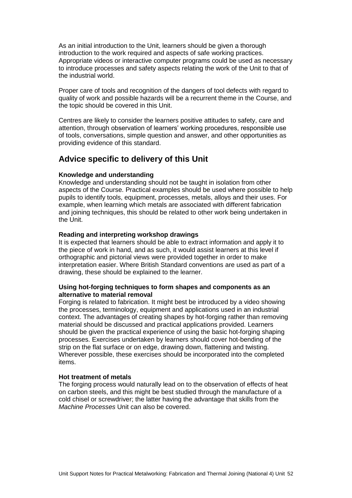As an initial introduction to the Unit, learners should be given a thorough introduction to the work required and aspects of safe working practices. Appropriate videos or interactive computer programs could be used as necessary to introduce processes and safety aspects relating the work of the Unit to that of the industrial world.

Proper care of tools and recognition of the dangers of tool defects with regard to quality of work and possible hazards will be a recurrent theme in the Course, and the topic should be covered in this Unit.

Centres are likely to consider the learners positive attitudes to safety, care and attention, through observation of learners' working procedures, responsible use of tools, conversations, simple question and answer, and other opportunities as providing evidence of this standard.

### **Advice specific to delivery of this Unit**

#### **Knowledge and understanding**

Knowledge and understanding should not be taught in isolation from other aspects of the Course. Practical examples should be used where possible to help pupils to identify tools, equipment, processes, metals, alloys and their uses. For example, when learning which metals are associated with different fabrication and joining techniques, this should be related to other work being undertaken in the Unit.

#### **Reading and interpreting workshop drawings**

It is expected that learners should be able to extract information and apply it to the piece of work in hand, and as such, it would assist learners at this level if orthographic and pictorial views were provided together in order to make interpretation easier. Where British Standard conventions are used as part of a drawing, these should be explained to the learner.

#### **Using hot-forging techniques to form shapes and components as an alternative to material removal**

Forging is related to fabrication. It might best be introduced by a video showing the processes, terminology, equipment and applications used in an industrial context. The advantages of creating shapes by hot-forging rather than removing material should be discussed and practical applications provided. Learners should be given the practical experience of using the basic hot-forging shaping processes. Exercises undertaken by learners should cover hot-bending of the strip on the flat surface or on edge, drawing down, flattening and twisting. Wherever possible, these exercises should be incorporated into the completed items.

#### **Hot treatment of metals**

The forging process would naturally lead on to the observation of effects of heat on carbon steels, and this might be best studied through the manufacture of a cold chisel or screwdriver; the latter having the advantage that skills from the *Machine Processes* Unit can also be covered.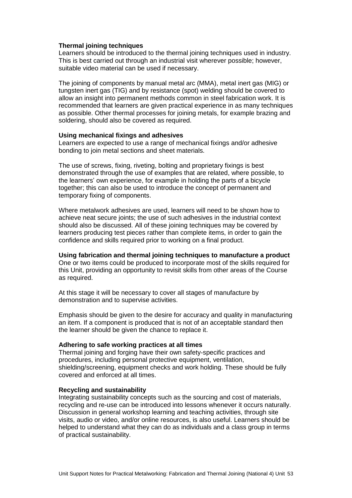#### **Thermal joining techniques**

Learners should be introduced to the thermal joining techniques used in industry. This is best carried out through an industrial visit wherever possible; however, suitable video material can be used if necessary.

The joining of components by manual metal arc (MMA), metal inert gas (MIG) or tungsten inert gas (TIG) and by resistance (spot) welding should be covered to allow an insight into permanent methods common in steel fabrication work. It is recommended that learners are given practical experience in as many techniques as possible. Other thermal processes for joining metals, for example brazing and soldering, should also be covered as required.

#### **Using mechanical fixings and adhesives**

Learners are expected to use a range of mechanical fixings and/or adhesive bonding to join metal sections and sheet materials.

The use of screws, fixing, riveting, bolting and proprietary fixings is best demonstrated through the use of examples that are related, where possible, to the learners' own experience, for example in holding the parts of a bicycle together; this can also be used to introduce the concept of permanent and temporary fixing of components.

Where metalwork adhesives are used, learners will need to be shown how to achieve neat secure joints; the use of such adhesives in the industrial context should also be discussed. All of these joining techniques may be covered by learners producing test pieces rather than complete items, in order to gain the confidence and skills required prior to working on a final product.

#### **Using fabrication and thermal joining techniques to manufacture a product**

One or two items could be produced to incorporate most of the skills required for this Unit, providing an opportunity to revisit skills from other areas of the Course as required.

At this stage it will be necessary to cover all stages of manufacture by demonstration and to supervise activities.

Emphasis should be given to the desire for accuracy and quality in manufacturing an item. If a component is produced that is not of an acceptable standard then the learner should be given the chance to replace it.

#### **Adhering to safe working practices at all times**

Thermal joining and forging have their own safety-specific practices and procedures, including personal protective equipment, ventilation, shielding/screening, equipment checks and work holding. These should be fully covered and enforced at all times.

#### **Recycling and sustainability**

Integrating sustainability concepts such as the sourcing and cost of materials, recycling and re-use can be introduced into lessons whenever it occurs naturally. Discussion in general workshop learning and teaching activities, through site visits, audio or video, and/or online resources, is also useful. Learners should be helped to understand what they can do as individuals and a class group in terms of practical sustainability.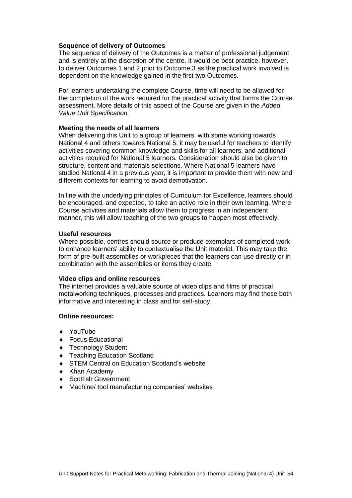#### **Sequence of delivery of Outcomes**

The sequence of delivery of the Outcomes is a matter of professional judgement and is entirely at the discretion of the centre. It would be best practice, however, to deliver Outcomes 1 and 2 prior to Outcome 3 as the practical work involved is dependent on the knowledge gained in the first two Outcomes.

For learners undertaking the complete Course, time will need to be allowed for the completion of the work required for the practical activity that forms the Course assessment. More details of this aspect of the Course are given in the *Added Value Unit Specification.*

#### **Meeting the needs of all learners**

When delivering this Unit to a group of learners, with some working towards National 4 and others towards National 5, it may be useful for teachers to identify activities covering common knowledge and skills for all learners, and additional activities required for National 5 learners. Consideration should also be given to structure, content and materials selections. Where National 5 learners have studied National 4 in a previous year, it is important to provide them with new and different contexts for learning to avoid demotivation.

In line with the underlying principles of Curriculum for Excellence, learners should be encouraged, and expected, to take an active role in their own learning. Where Course activities and materials allow them to progress in an independent manner, this will allow teaching of the two groups to happen most effectively.

#### **Useful resources**

Where possible, centres should source or produce exemplars of completed work to enhance learners' ability to contextualise the Unit material. This may take the form of pre-built assemblies or workpieces that the learners can use directly or in combination with the assemblies or items they create.

#### **Video clips and online resources**

The internet provides a valuable source of video clips and films of practical metalworking techniques, processes and practices. Learners may find these both informative and interesting in class and for self-study.

#### **Online resources:**

- YouTube
- ◆ Focus Educational
- ◆ Technology Student
- Teaching Education Scotland
- ◆ STEM Central on Education Scotland's website
- Khan Academy
- ◆ Scottish Government
- Machine/ tool manufacturing companies' websites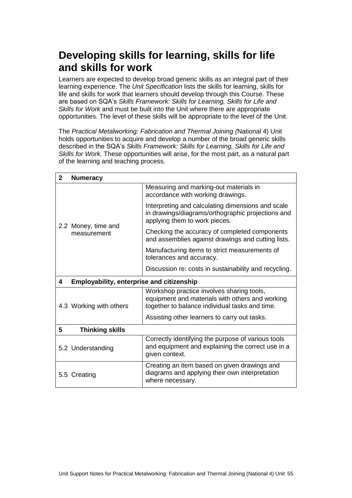### **Developing skills for learning, skills for life and skills for work**

Learners are expected to develop broad generic skills as an integral part of their learning experience. The *Unit Specification* lists the skills for learning, skills for life and skills for work that learners should develop through this Course. These are based on SQA's *Skills Framework: Skills for Learning, Skills for Life and Skills for Work* and must be built into the Unit where there are appropriate opportunities. The level of these skills will be appropriate to the level of the Unit.

The *Practical Metalworking: Fabrication and Thermal Joining (*National 4) Unit holds opportunities to acquire and develop a number of the broad generic skills described in the SQA's *Skills Framework: Skills for Learning, Skills for Life and Skills for Work.* These opportunities will arise, for the most part, as a natural part of the learning and teaching process.

| $\mathbf{2}$ | <b>Numeracy</b>                                  |                                                                                                                                                |  |  |  |  |
|--------------|--------------------------------------------------|------------------------------------------------------------------------------------------------------------------------------------------------|--|--|--|--|
|              |                                                  | Measuring and marking-out materials in<br>accordance with working drawings.                                                                    |  |  |  |  |
|              | 2.2 Money, time and<br>measurement               | Interpreting and calculating dimensions and scale<br>in drawings/diagrams/orthographic projections and<br>applying them to work pieces.        |  |  |  |  |
|              |                                                  | Checking the accuracy of completed components<br>and assemblies against drawings and cutting lists.                                            |  |  |  |  |
|              |                                                  | Manufacturing items to strict measurements of<br>tolerances and accuracy.                                                                      |  |  |  |  |
|              |                                                  | Discussion re: costs in sustainability and recycling.                                                                                          |  |  |  |  |
| 4            | <b>Employability, enterprise and citizenship</b> |                                                                                                                                                |  |  |  |  |
|              | 4.3 Working with others                          | Workshop practice involves sharing tools,<br>equipment and materials with others and working<br>together to balance individual tasks and time. |  |  |  |  |
|              |                                                  | Assisting other learners to carry out tasks.                                                                                                   |  |  |  |  |
| 5            | <b>Thinking skills</b>                           |                                                                                                                                                |  |  |  |  |
|              | 5.2 Understanding                                | Correctly identifying the purpose of various tools<br>and equipment and explaining the correct use in a<br>given context.                      |  |  |  |  |
|              | 5.5 Creating                                     | Creating an item based on given drawings and<br>diagrams and applying their own interpretation<br>where necessary.                             |  |  |  |  |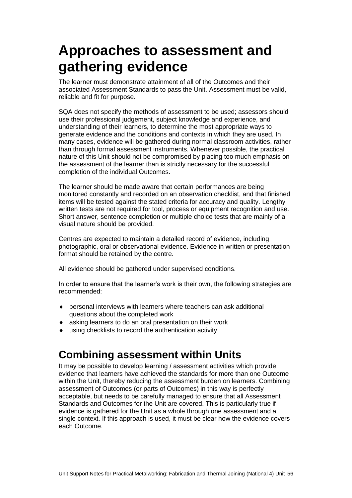## <span id="page-58-0"></span>**Approaches to assessment and gathering evidence**

The learner must demonstrate attainment of all of the Outcomes and their associated Assessment Standards to pass the Unit. Assessment must be valid, reliable and fit for purpose.

SQA does not specify the methods of assessment to be used; assessors should use their professional judgement, subject knowledge and experience, and understanding of their learners, to determine the most appropriate ways to generate evidence and the conditions and contexts in which they are used. In many cases, evidence will be gathered during normal classroom activities, rather than through formal assessment instruments. Whenever possible, the practical nature of this Unit should not be compromised by placing too much emphasis on the assessment of the learner than is strictly necessary for the successful completion of the individual Outcomes.

The learner should be made aware that certain performances are being monitored constantly and recorded on an observation checklist, and that finished items will be tested against the stated criteria for accuracy and quality. Lengthy written tests are not required for tool, process or equipment recognition and use. Short answer, sentence completion or multiple choice tests that are mainly of a visual nature should be provided.

Centres are expected to maintain a detailed record of evidence, including photographic, oral or observational evidence. Evidence in written or presentation format should be retained by the centre.

All evidence should be gathered under supervised conditions.

In order to ensure that the learner's work is their own, the following strategies are recommended:

- personal interviews with learners where teachers can ask additional questions about the completed work
- asking learners to do an oral presentation on their work
- using checklists to record the authentication activity

### **Combining assessment within Units**

It may be possible to develop learning / assessment activities which provide evidence that learners have achieved the standards for more than one Outcome within the Unit, thereby reducing the assessment burden on learners. Combining assessment of Outcomes (or parts of Outcomes) in this way is perfectly acceptable, but needs to be carefully managed to ensure that all Assessment Standards and Outcomes for the Unit are covered. This is particularly true if evidence is gathered for the Unit as a whole through one assessment and a single context. If this approach is used, it must be clear how the evidence covers each Outcome.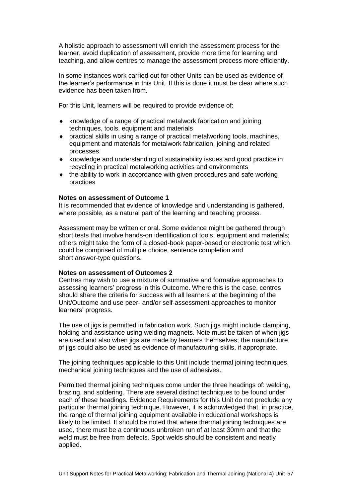A holistic approach to assessment will enrich the assessment process for the learner, avoid duplication of assessment, provide more time for learning and teaching, and allow centres to manage the assessment process more efficiently.

In some instances work carried out for other Units can be used as evidence of the learner's performance in this Unit. If this is done it must be clear where such evidence has been taken from.

For this Unit, learners will be required to provide evidence of:

- $\bullet$  knowledge of a range of practical metalwork fabrication and joining techniques, tools, equipment and materials
- practical skills in using a range of practical metalworking tools, machines, equipment and materials for metalwork fabrication, joining and related processes
- knowledge and understanding of sustainability issues and good practice in recycling in practical metalworking activities and environments
- the ability to work in accordance with given procedures and safe working practices

#### **Notes on assessment of Outcome 1**

It is recommended that evidence of knowledge and understanding is gathered, where possible, as a natural part of the learning and teaching process.

Assessment may be written or oral. Some evidence might be gathered through short tests that involve hands-on identification of tools, equipment and materials; others might take the form of a closed-book paper-based or electronic test which could be comprised of multiple choice, sentence completion and short answer-type questions.

#### **Notes on assessment of Outcomes 2**

Centres may wish to use a mixture of summative and formative approaches to assessing learners' progress in this Outcome. Where this is the case, centres should share the criteria for success with all learners at the beginning of the Unit/Outcome and use peer- and/or self-assessment approaches to monitor learners' progress.

The use of jigs is permitted in fabrication work. Such jigs might include clamping, holding and assistance using welding magnets. Note must be taken of when jigs are used and also when jigs are made by learners themselves; the manufacture of jigs could also be used as evidence of manufacturing skills, if appropriate.

The joining techniques applicable to this Unit include thermal joining techniques, mechanical joining techniques and the use of adhesives.

Permitted thermal joining techniques come under the three headings of: welding, brazing, and soldering. There are several distinct techniques to be found under each of these headings. Evidence Requirements for this Unit do not preclude any particular thermal joining technique. However, it is acknowledged that, in practice, the range of thermal joining equipment available in educational workshops is likely to be limited. It should be noted that where thermal joining techniques are used, there must be a continuous unbroken run of at least 30mm and that the weld must be free from defects. Spot welds should be consistent and neatly applied.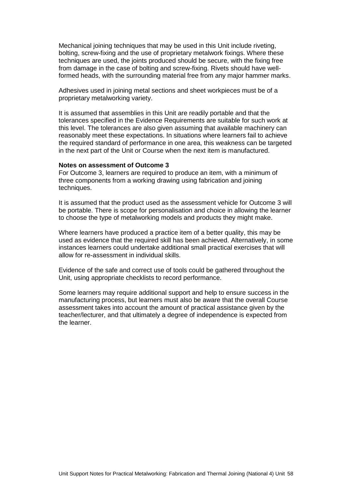Mechanical joining techniques that may be used in this Unit include riveting, bolting, screw-fixing and the use of proprietary metalwork fixings. Where these techniques are used, the joints produced should be secure, with the fixing free from damage in the case of bolting and screw-fixing. Rivets should have wellformed heads, with the surrounding material free from any major hammer marks.

Adhesives used in joining metal sections and sheet workpieces must be of a proprietary metalworking variety.

It is assumed that assemblies in this Unit are readily portable and that the tolerances specified in the Evidence Requirements are suitable for such work at this level. The tolerances are also given assuming that available machinery can reasonably meet these expectations. In situations where learners fail to achieve the required standard of performance in one area, this weakness can be targeted in the next part of the Unit or Course when the next item is manufactured.

#### **Notes on assessment of Outcome 3**

For Outcome 3, learners are required to produce an item, with a minimum of three components from a working drawing using fabrication and joining techniques.

It is assumed that the product used as the assessment vehicle for Outcome 3 will be portable. There is scope for personalisation and choice in allowing the learner to choose the type of metalworking models and products they might make.

Where learners have produced a practice item of a better quality, this may be used as evidence that the required skill has been achieved. Alternatively, in some instances learners could undertake additional small practical exercises that will allow for re-assessment in individual skills.

Evidence of the safe and correct use of tools could be gathered throughout the Unit, using appropriate checklists to record performance.

Some learners may require additional support and help to ensure success in the manufacturing process, but learners must also be aware that the overall Course assessment takes into account the amount of practical assistance given by the teacher/lecturer, and that ultimately a degree of independence is expected from the learner.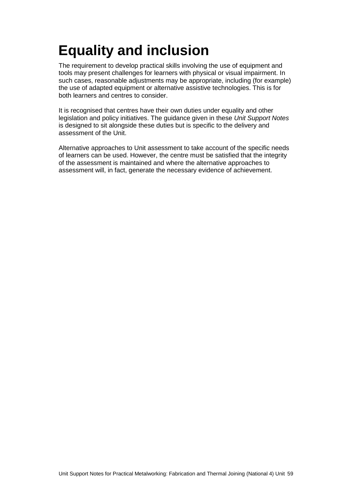## <span id="page-61-0"></span>**Equality and inclusion**

The requirement to develop practical skills involving the use of equipment and tools may present challenges for learners with physical or visual impairment. In such cases, reasonable adjustments may be appropriate, including (for example) the use of adapted equipment or alternative assistive technologies. This is for both learners and centres to consider.

It is recognised that centres have their own duties under equality and other legislation and policy initiatives. The guidance given in these *Unit Support Notes* is designed to sit alongside these duties but is specific to the delivery and assessment of the Unit.

Alternative approaches to Unit assessment to take account of the specific needs of learners can be used. However, the centre must be satisfied that the integrity of the assessment is maintained and where the alternative approaches to assessment will, in fact, generate the necessary evidence of achievement.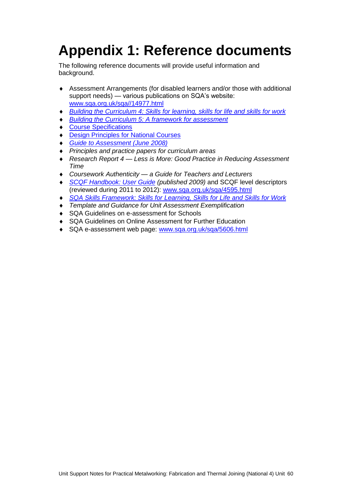# <span id="page-62-0"></span>**Appendix 1: Reference documents**

The following reference documents will provide useful information and background.

- Assessment Arrangements (for disabled learners and/or those with additional support needs) — various publications on SQA's website: [www.sqa.org.uk/sqa//14977.html](http://www.sqa.org.uk/sqa/14977.html)
- *[Building the Curriculum 4: Skills for learning, skills for life and skills for work](http://www.ltscotland.org.uk/buildingyourcurriculum/policycontext/btc/btc4.asp)*
- *[Building the Curriculum 5: A framework for assessment](http://www.ltscotland.org.uk/buildingyourcurriculum/policycontext/btc/btc5.asp)*
- ◆ [Course Specifications](http://www.sqa.org.uk/browsecfesubjects)
- **[Design Principles for National Courses](http://www.sqa.org.uk/sqa/68410.5165.html)**
- *[Guide to Assessment \(June 2008\)](http://www.sqa.org.uk/files_ccc/25GuideToAssessment.pdf)*
- *Principles and practice papers for curriculum areas*
- *Research Report 4 — Less is More: Good Practice in Reducing Assessment Time*
- *Coursework Authenticity — a Guide for Teachers and Lecturers*
- ◆ *[SCQF Handbook: User Guide](http://www.scqf.org.uk/Resources) (published 2009)* and SCQF level descriptors (reviewed during 2011 to 2012): [www.sqa.org.uk/sqa/4595.html](http://www.sqa.org.uk/sqa/4595.html)
- *[SQA Skills Framework: Skills for Learning, Skills](http://www.sqa.org.uk/sqa/63101.html) for Life and Skills for Work*
- *Template and Guidance for Unit Assessment Exemplification*
- ◆ SQA Guidelines on e-assessment for Schools
- SQA Guidelines on Online Assessment for Further Education
- ◆ SQA e-assessment web page: [www.sqa.org.uk/sqa/5606.html](http://www.sqa.org.uk/sqa/5606.html)